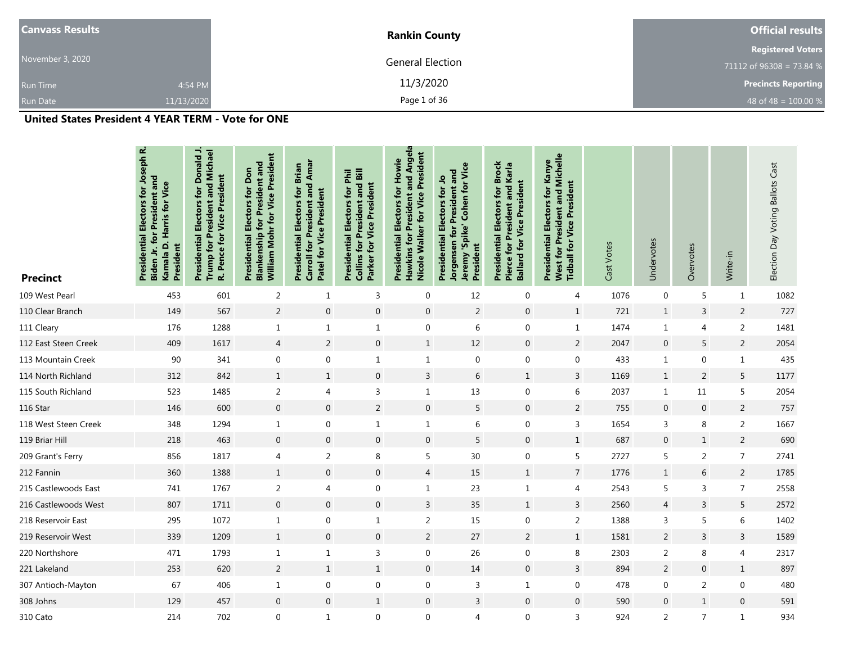| <b>Canvass Results</b> |            | <b>Rankin County</b>    | <b>Official results</b>    |  |  |
|------------------------|------------|-------------------------|----------------------------|--|--|
|                        |            |                         | <b>Registered Voters</b>   |  |  |
| November 3, 2020       |            | <b>General Election</b> | 71112 of 96308 = 73.84 %   |  |  |
| <b>Run Time</b>        | 4:54 PM    | 11/3/2020               | <b>Precincts Reporting</b> |  |  |
| <b>Run Date</b>        | 11/13/2020 | Page 1 of 36            | 48 of 48 = $100.00 %$      |  |  |

| <b>Precinct</b>      | Electors for Joseph R.<br>for President and<br>Kamala D. Harris for Vice<br>Presidential<br>President<br>Biden Jr. | Presidential Electors for Donald J.<br>Trump for President and Michael<br>R. Pence for Vice President | William Mohr for Vice President<br><b>Blankenship for President and</b><br><b>Presidential Electors for Don</b> | Carroll for President and Amar<br>Presidential Electors for Brian<br>Patel for Vice President | <b>Collins for President and Bill</b><br>Presidential Electors for Phil<br>Parker for Vice President | <b>Hawkins for President and Angela</b><br>Nicole Walker for Vice President<br>Presidential Electors for Howie | Jeremy 'Spike' Cohen for Vice<br>Jorgensen for President and<br>Presidential Electors for Jo<br>President | <b>Presidential Electors for Brock</b><br>Pierce for President and Karla<br><b>Ballard for Vice President</b> | President and Michelle<br>Presidential Electors for Kanye<br><b>Tidball for Vice President</b><br>West for | Cast Votes | Undervotes       | Overvotes      | Write-in         | Election Day Voting Ballots Cast |
|----------------------|--------------------------------------------------------------------------------------------------------------------|-------------------------------------------------------------------------------------------------------|-----------------------------------------------------------------------------------------------------------------|-----------------------------------------------------------------------------------------------|------------------------------------------------------------------------------------------------------|----------------------------------------------------------------------------------------------------------------|-----------------------------------------------------------------------------------------------------------|---------------------------------------------------------------------------------------------------------------|------------------------------------------------------------------------------------------------------------|------------|------------------|----------------|------------------|----------------------------------|
| 109 West Pearl       | 453                                                                                                                | 601                                                                                                   | $\overline{2}$                                                                                                  | $\mathbf{1}$                                                                                  | 3                                                                                                    | $\mathbf 0$                                                                                                    | 12                                                                                                        | $\mathbf 0$                                                                                                   | 4                                                                                                          | 1076       | $\mathbf 0$      | 5              | $\mathbf{1}$     | 1082                             |
| 110 Clear Branch     | 149                                                                                                                | 567                                                                                                   | $\overline{2}$                                                                                                  | $\boldsymbol{0}$                                                                              | $\boldsymbol{0}$                                                                                     | $\boldsymbol{0}$                                                                                               | $\overline{2}$                                                                                            | $\mathbf 0$                                                                                                   | $\mathbf{1}$                                                                                               | 721        | $\mathbf{1}$     | $\overline{3}$ | $\overline{2}$   | 727                              |
| 111 Cleary           | 176                                                                                                                | 1288                                                                                                  | $\mathbf{1}$                                                                                                    | $\mathbf{1}$                                                                                  | $\mathbf{1}$                                                                                         | $\boldsymbol{0}$                                                                                               | 6                                                                                                         | $\mathbf 0$                                                                                                   | $\mathbf{1}$                                                                                               | 1474       | $\mathbf{1}$     | 4              | $\overline{2}$   | 1481                             |
| 112 East Steen Creek | 409                                                                                                                | 1617                                                                                                  | $\overline{4}$                                                                                                  | $\sqrt{2}$                                                                                    | $\boldsymbol{0}$                                                                                     | $\mathbf{1}$                                                                                                   | 12                                                                                                        | $\mathbf 0$                                                                                                   | $\sqrt{2}$                                                                                                 | 2047       | $\boldsymbol{0}$ | 5              | $\overline{2}$   | 2054                             |
| 113 Mountain Creek   | 90                                                                                                                 | 341                                                                                                   | $\mathbf 0$                                                                                                     | $\boldsymbol{0}$                                                                              | $\mathbf{1}$                                                                                         | $\mathbf{1}$                                                                                                   | $\mathbf 0$                                                                                               | $\mathbf 0$                                                                                                   | $\boldsymbol{0}$                                                                                           | 433        | $\mathbf{1}$     | $\mathbf 0$    | $\mathbf{1}$     | 435                              |
| 114 North Richland   | 312                                                                                                                | 842                                                                                                   | $\mathbf{1}$                                                                                                    | $1\,$                                                                                         | $\mathbf 0$                                                                                          | $\overline{3}$                                                                                                 | 6                                                                                                         | $\mathbf{1}$                                                                                                  | 3                                                                                                          | 1169       | $\mathbf{1}$     | 2              | 5                | 1177                             |
| 115 South Richland   | 523                                                                                                                | 1485                                                                                                  | $\overline{2}$                                                                                                  | 4                                                                                             | 3                                                                                                    | $\mathbf{1}$                                                                                                   | $13$                                                                                                      | $\mathbf 0$                                                                                                   | 6                                                                                                          | 2037       | $\mathbf{1}$     | 11             | 5                | 2054                             |
| 116 Star             | 146                                                                                                                | 600                                                                                                   | $\mathbf 0$                                                                                                     | $\mathbf 0$                                                                                   | $\overline{2}$                                                                                       | $\mathbf 0$                                                                                                    | 5                                                                                                         | $\mathbf 0$                                                                                                   | 2                                                                                                          | 755        | $\boldsymbol{0}$ | $\mathbf 0$    | $\overline{2}$   | 757                              |
| 118 West Steen Creek | 348                                                                                                                | 1294                                                                                                  | $\mathbf{1}$                                                                                                    | $\boldsymbol{0}$                                                                              | $\mathbf 1$                                                                                          | $\mathbf{1}$                                                                                                   | 6                                                                                                         | $\boldsymbol{0}$                                                                                              | $\mathsf 3$                                                                                                | 1654       | 3                | 8              | $\overline{2}$   | 1667                             |
| 119 Briar Hill       | 218                                                                                                                | 463                                                                                                   | $\mathbf 0$                                                                                                     | $\boldsymbol{0}$                                                                              | $\boldsymbol{0}$                                                                                     | $\mathbf 0$                                                                                                    | 5                                                                                                         | $\mathbf 0$                                                                                                   | $\mathbf{1}$                                                                                               | 687        | $\boldsymbol{0}$ | $\mathbf{1}$   | $\overline{2}$   | 690                              |
| 209 Grant's Ferry    | 856                                                                                                                | 1817                                                                                                  | 4                                                                                                               | $\overline{2}$                                                                                | 8                                                                                                    | 5                                                                                                              | 30 <sup>°</sup>                                                                                           | $\mathbf{0}$                                                                                                  | 5                                                                                                          | 2727       | 5                | $\overline{2}$ | $\overline{7}$   | 2741                             |
| 212 Fannin           | 360                                                                                                                | 1388                                                                                                  | $\mathbf{1}$                                                                                                    | $\mathbf 0$                                                                                   | $\mathbf 0$                                                                                          | $\overline{4}$                                                                                                 | 15                                                                                                        | $\mathbf{1}$                                                                                                  | $\overline{7}$                                                                                             | 1776       | $\mathbf{1}$     | 6              | 2                | 1785                             |
| 215 Castlewoods East | 741                                                                                                                | 1767                                                                                                  | 2                                                                                                               | 4                                                                                             | $\mathbf 0$                                                                                          | $\mathbf{1}$                                                                                                   | 23                                                                                                        | $\mathbf{1}$                                                                                                  | 4                                                                                                          | 2543       | 5                | 3              | $\overline{7}$   | 2558                             |
| 216 Castlewoods West | 807                                                                                                                | 1711                                                                                                  | $\boldsymbol{0}$                                                                                                | $\boldsymbol{0}$                                                                              | $\boldsymbol{0}$                                                                                     | $\overline{3}$                                                                                                 | 35                                                                                                        | $\,1\,$                                                                                                       | $\mathsf{3}$                                                                                               | 2560       | $\overline{4}$   | $\mathsf{3}$   | 5                | 2572                             |
| 218 Reservoir East   | 295                                                                                                                | 1072                                                                                                  | $\mathbf{1}$                                                                                                    | 0                                                                                             | $\mathbf{1}$                                                                                         | $\overline{2}$                                                                                                 | 15                                                                                                        | $\mathbf 0$                                                                                                   | $\overline{2}$                                                                                             | 1388       | 3                | 5              | 6                | 1402                             |
| 219 Reservoir West   | 339                                                                                                                | 1209                                                                                                  | $\mathbf{1}$                                                                                                    | $\mathbf{0}$                                                                                  | $\mathbf{0}$                                                                                         | $\overline{2}$                                                                                                 | 27                                                                                                        | $\overline{2}$                                                                                                | $\mathbf{1}$                                                                                               | 1581       | $\overline{2}$   | 3              | $\overline{3}$   | 1589                             |
| 220 Northshore       | 471                                                                                                                | 1793                                                                                                  | $\mathbf{1}$                                                                                                    | $\mathbf{1}$                                                                                  | 3                                                                                                    | $\mathbf 0$                                                                                                    | 26                                                                                                        | 0                                                                                                             | 8                                                                                                          | 2303       | $\overline{2}$   | 8              | $\overline{4}$   | 2317                             |
| 221 Lakeland         | 253                                                                                                                | 620                                                                                                   | $\overline{2}$                                                                                                  | $\mathbf{1}$                                                                                  | $\mathbf{1}$                                                                                         | $\mathbf{0}$                                                                                                   | 14                                                                                                        | $\mathbf{0}$                                                                                                  | 3                                                                                                          | 894        | $\overline{2}$   | $\mathbf 0$    | $\mathbf{1}$     | 897                              |
| 307 Antioch-Mayton   | 67                                                                                                                 | 406                                                                                                   | $\mathbf{1}$                                                                                                    | 0                                                                                             | $\boldsymbol{0}$                                                                                     | $\boldsymbol{0}$                                                                                               | 3                                                                                                         | $\mathbf{1}$                                                                                                  | $\boldsymbol{0}$                                                                                           | 478        | $\mathbf 0$      | $\overline{2}$ | $\boldsymbol{0}$ | 480                              |
| 308 Johns            | 129                                                                                                                | 457                                                                                                   | $\mathbf{0}$                                                                                                    | $\mathbf{0}$                                                                                  | $\mathbf{1}$                                                                                         | $\mathbf{0}$                                                                                                   | $\overline{3}$                                                                                            | $\mathbf{0}$                                                                                                  | $\mathbf{0}$                                                                                               | 590        | $\mathbf 0$      | $\mathbf{1}$   | $\mathbf 0$      | 591                              |
| 310 Cato             | 214                                                                                                                | 702                                                                                                   | 0                                                                                                               | $\mathbf{1}$                                                                                  | $\mathbf 0$                                                                                          | $\mathbf 0$                                                                                                    | $\overline{4}$                                                                                            | $\mathbf{0}$                                                                                                  | 3                                                                                                          | 924        | $\overline{2}$   | $\overline{7}$ | $\,1\,$          | 934                              |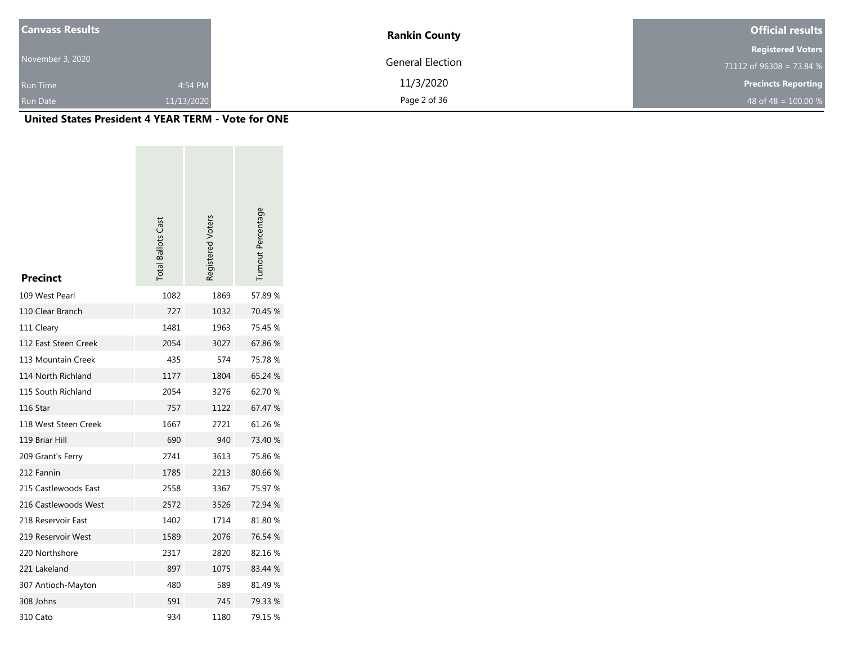| <b>Canvass Results</b> |            | <b>Rankin County</b>    | <b>Official results</b>    |
|------------------------|------------|-------------------------|----------------------------|
|                        |            |                         | <b>Registered Voters</b>   |
| November 3, 2020       |            | <b>General Election</b> | 71112 of $96308 = 73.84$ % |
| <b>Run Time</b>        | 4:54 PM    | 11/3/2020               | <b>Precincts Reporting</b> |
| <b>Run Date</b>        | 11/13/2020 | Page 2 of 36            | 48 of 48 = $100.00\%$      |

| <b>Precinct</b>      | <b>Total Ballots Cast</b> | Registered Voters | Turnout Percentage |
|----------------------|---------------------------|-------------------|--------------------|
| 109 West Pearl       | 1082                      | 1869              | 57.89%             |
| 110 Clear Branch     | 727                       | 1032              | 70.45 %            |
| 111 Cleary           | 1481                      | 1963              | 75.45 %            |
| 112 East Steen Creek | 2054                      | 3027              | 67.86%             |
| 113 Mountain Creek   | 435                       | 574               | 75.78 %            |
| 114 North Richland   | 1177                      | 1804              | 65.24 %            |
| 115 South Richland   | 2054                      | 3276              | 62.70%             |
| 116 Star             | 757                       | 1122              | 67.47 %            |
| 118 West Steen Creek | 1667                      | 2721              | 61.26 %            |
| 119 Briar Hill       | 690                       | 940               | 73.40 %            |
| 209 Grant's Ferry    | 2741                      | 3613              | 75.86%             |
| 212 Fannin           | 1785                      | 2213              | 80.66 %            |
| 215 Castlewoods East | 2558                      | 3367              | 75.97 %            |
| 216 Castlewoods West | 2572                      | 3526              | 72.94 %            |
| 218 Reservoir East   | 1402                      | 1714              | 81.80%             |
| 219 Reservoir West   | 1589                      | 2076              | 76.54 %            |
| 220 Northshore       | 2317                      | 2820              | 82.16%             |
| 221 Lakeland         | 897                       | 1075              | 83.44 %            |
| 307 Antioch-Mayton   | 480                       | 589               | 81.49%             |
| 308 Johns            | 591                       | 745               | 79.33 %            |
| 310 Cato             | 934                       | 1180              | 79.15 %            |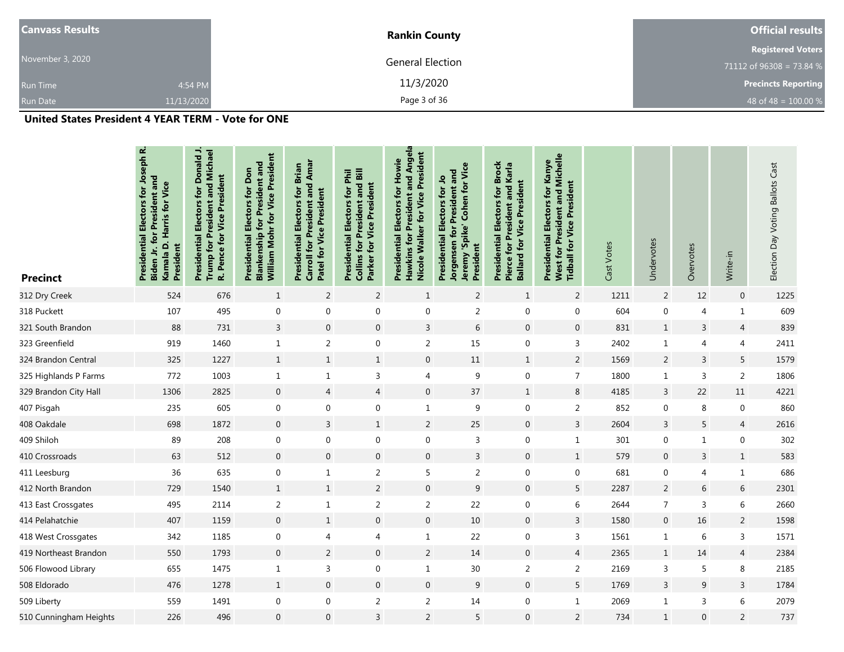| <b>Canvass Results</b> |            | <b>Rankin County</b>    | <b>Official results</b>    |
|------------------------|------------|-------------------------|----------------------------|
|                        |            |                         | <b>Registered Voters</b>   |
| November 3, 2020       |            | <b>General Election</b> | 71112 of $96308 = 73.84$ % |
| <b>Run Time</b>        | 4:54 PM    | 11/3/2020               | <b>Precincts Reporting</b> |
| <b>Run Date</b>        | 11/13/2020 | Page 3 of 36            | 48 of 48 = $100.00 %$      |

| <b>Precinct</b>        | <b>Presidential Electors for Joseph R.</b><br>for President and<br>Kamala D. Harris for Vice<br>President<br>Biden Jr. | <b>Presidential Electors for Donald J.</b><br>Trump for President and Michael<br>R. Pence for Vice President | William Mohr for Vice President<br><b>Blankenship for President and</b><br><b>Presidential Electors for Don</b> | Carroll for President and Amar<br>Presidential Electors for Brian<br>Patel for Vice President | <b>Collins for President and Bill</b><br>Presidential Electors for Phil<br>Parker for Vice President | Hawkins for President and Angela<br>Nicole Walker for Vice President<br>Presidential Electors for Howie | Jeremy 'Spike' Cohen for Vice<br>Jorgensen for President and<br>Presidential Electors for Jo<br>President | <b>Presidential Electors for Brock</b><br>Pierce for President and Karla<br><b>Ballard for Vice President</b> | <b>West for President and Michelle</b><br>Presidential Electors for Kanye<br><b>Tidball for Vice President</b> | Cast Votes | Undervotes       | Overvotes        | Write-in       | Election Day Voting Ballots Cast |
|------------------------|------------------------------------------------------------------------------------------------------------------------|--------------------------------------------------------------------------------------------------------------|-----------------------------------------------------------------------------------------------------------------|-----------------------------------------------------------------------------------------------|------------------------------------------------------------------------------------------------------|---------------------------------------------------------------------------------------------------------|-----------------------------------------------------------------------------------------------------------|---------------------------------------------------------------------------------------------------------------|----------------------------------------------------------------------------------------------------------------|------------|------------------|------------------|----------------|----------------------------------|
| 312 Dry Creek          | 524                                                                                                                    | 676                                                                                                          | $\mathbf{1}$                                                                                                    | $\overline{2}$                                                                                | $\overline{2}$                                                                                       | $\mathbf{1}$                                                                                            | $\overline{2}$                                                                                            | $\mathbf{1}$                                                                                                  | $\overline{2}$                                                                                                 | 1211       | $\overline{c}$   | 12               | $\mathbf 0$    | 1225                             |
| 318 Puckett            | 107                                                                                                                    | 495                                                                                                          | $\mathbf 0$                                                                                                     | $\boldsymbol{0}$                                                                              | $\boldsymbol{0}$                                                                                     | $\boldsymbol{0}$                                                                                        | $\overline{c}$                                                                                            | $\mathbf 0$                                                                                                   | $\boldsymbol{0}$                                                                                               | 604        | 0                | $\overline{4}$   | $\mathbf{1}$   | 609                              |
| 321 South Brandon      | 88                                                                                                                     | 731                                                                                                          | 3                                                                                                               | $\boldsymbol{0}$                                                                              | $\mathbf 0$                                                                                          | $\mathbf{3}$                                                                                            | 6                                                                                                         | $\mathbf{0}$                                                                                                  | $\mathbf 0$                                                                                                    | 831        | $\mathbf{1}$     | $\mathsf{3}$     | $\overline{4}$ | 839                              |
| 323 Greenfield         | 919                                                                                                                    | 1460                                                                                                         | $\mathbf{1}$                                                                                                    | $\overline{2}$                                                                                | $\boldsymbol{0}$                                                                                     | $\overline{2}$                                                                                          | 15                                                                                                        | $\mathbf 0$                                                                                                   | 3                                                                                                              | 2402       | $\mathbf{1}$     | $\overline{4}$   | $\overline{4}$ | 2411                             |
| 324 Brandon Central    | 325                                                                                                                    | 1227                                                                                                         | $\mathbf{1}$                                                                                                    | $\mathbf 1$                                                                                   | $\mathbf{1}$                                                                                         | $\mathbf{0}$                                                                                            | 11                                                                                                        | $\mathbf{1}$                                                                                                  | $\overline{2}$                                                                                                 | 1569       | $\overline{c}$   | $\mathsf 3$      | 5              | 1579                             |
| 325 Highlands P Farms  | 772                                                                                                                    | 1003                                                                                                         | $\mathbf{1}$                                                                                                    | $\,1\,$                                                                                       | $\mathsf{3}$                                                                                         | $\overline{4}$                                                                                          | 9                                                                                                         | $\mathbf 0$                                                                                                   | $\overline{7}$                                                                                                 | 1800       | $\mathbf 1$      | 3                | $\overline{2}$ | 1806                             |
| 329 Brandon City Hall  | 1306                                                                                                                   | 2825                                                                                                         | $\mathbf 0$                                                                                                     | $\overline{4}$                                                                                | $\overline{4}$                                                                                       | $\mathbf{0}$                                                                                            | 37                                                                                                        | $\mathbf{1}$                                                                                                  | 8                                                                                                              | 4185       | 3                | 22               | 11             | 4221                             |
| 407 Pisgah             | 235                                                                                                                    | 605                                                                                                          | $\mathbf 0$                                                                                                     | $\boldsymbol{0}$                                                                              | $\boldsymbol{0}$                                                                                     | $\mathbf{1}$                                                                                            | 9                                                                                                         | $\mathbf 0$                                                                                                   | $\overline{2}$                                                                                                 | 852        | 0                | 8                | $\mathbf 0$    | 860                              |
| 408 Oakdale            | 698                                                                                                                    | 1872                                                                                                         | $\mathbf{0}$                                                                                                    | 3                                                                                             | $\mathbf{1}$                                                                                         | $\overline{2}$                                                                                          | 25                                                                                                        | $\mathbf 0$                                                                                                   | 3                                                                                                              | 2604       | 3                | 5                | $\overline{4}$ | 2616                             |
| 409 Shiloh             | 89                                                                                                                     | 208                                                                                                          | $\mathbf 0$                                                                                                     | $\mathbf 0$                                                                                   | $\boldsymbol{0}$                                                                                     | $\boldsymbol{0}$                                                                                        | 3                                                                                                         | $\mathbf 0$                                                                                                   | $\mathbf{1}$                                                                                                   | 301        | 0                | $\mathbf{1}$     | $\mathbf 0$    | 302                              |
| 410 Crossroads         | 63                                                                                                                     | 512                                                                                                          | $\boldsymbol{0}$                                                                                                | $\boldsymbol{0}$                                                                              | $\boldsymbol{0}$                                                                                     | $\boldsymbol{0}$                                                                                        | $\mathsf{3}$                                                                                              | $\boldsymbol{0}$                                                                                              | $\,$ 1 $\,$                                                                                                    | 579        | 0                | $\mathsf{3}$     | $\mathbf{1}$   | 583                              |
| 411 Leesburg           | 36                                                                                                                     | 635                                                                                                          | 0                                                                                                               | $\,1\,$                                                                                       | $\overline{2}$                                                                                       | 5                                                                                                       | $\overline{c}$                                                                                            | $\mathbf 0$                                                                                                   | $\boldsymbol{0}$                                                                                               | 681        | 0                | $\overline{4}$   | $\mathbf{1}$   | 686                              |
| 412 North Brandon      | 729                                                                                                                    | 1540                                                                                                         | $\mathbf{1}$                                                                                                    | $\mathbf 1$                                                                                   | $\overline{2}$                                                                                       | $\mathbf 0$                                                                                             | 9                                                                                                         | $\boldsymbol{0}$                                                                                              | 5                                                                                                              | 2287       | $\overline{c}$   | $\boldsymbol{6}$ | $\,$ 6 $\,$    | 2301                             |
| 413 East Crossgates    | 495                                                                                                                    | 2114                                                                                                         | $\overline{2}$                                                                                                  | $\,1\,$                                                                                       | $\overline{2}$                                                                                       | $\overline{2}$                                                                                          | 22                                                                                                        | $\mathbf 0$                                                                                                   | 6                                                                                                              | 2644       | $\overline{7}$   | $\overline{3}$   | 6              | 2660                             |
| 414 Pelahatchie        | 407                                                                                                                    | 1159                                                                                                         | $\mathbf 0$                                                                                                     | $\mathbf 1$                                                                                   | $\boldsymbol{0}$                                                                                     | $\mathbf 0$                                                                                             | $10\,$                                                                                                    | $\mathbf 0$                                                                                                   | $\mathsf{3}$                                                                                                   | 1580       | $\boldsymbol{0}$ | 16               | $\overline{2}$ | 1598                             |
| 418 West Crossgates    | 342                                                                                                                    | 1185                                                                                                         | 0                                                                                                               | $\overline{4}$                                                                                | 4                                                                                                    | $\mathbf{1}$                                                                                            | 22                                                                                                        | $\mathbf 0$                                                                                                   | 3                                                                                                              | 1561       | $\mathbf{1}$     | 6                | 3              | 1571                             |
| 419 Northeast Brandon  | 550                                                                                                                    | 1793                                                                                                         | $\overline{0}$                                                                                                  | $\overline{2}$                                                                                | $\boldsymbol{0}$                                                                                     | $\overline{2}$                                                                                          | 14                                                                                                        | $\mathbf 0$                                                                                                   | $\overline{4}$                                                                                                 | 2365       | $\mathbf{1}$     | 14               | $\overline{4}$ | 2384                             |
| 506 Flowood Library    | 655                                                                                                                    | 1475                                                                                                         | $\mathbf{1}$                                                                                                    | $\overline{3}$                                                                                | $\boldsymbol{0}$                                                                                     | $\mathbf{1}$                                                                                            | 30                                                                                                        | $\overline{2}$                                                                                                | $\sqrt{2}$                                                                                                     | 2169       | 3                | 5                | 8              | 2185                             |
| 508 Eldorado           | 476                                                                                                                    | 1278                                                                                                         | $\mathbf{1}$                                                                                                    | $\boldsymbol{0}$                                                                              | $\boldsymbol{0}$                                                                                     | $\mathbf 0$                                                                                             | 9                                                                                                         | $\mathbf 0$                                                                                                   | 5                                                                                                              | 1769       | 3                | 9                | 3              | 1784                             |
| 509 Liberty            | 559                                                                                                                    | 1491                                                                                                         | 0                                                                                                               | $\mathbf 0$                                                                                   | $\overline{2}$                                                                                       | $\overline{2}$                                                                                          | 14                                                                                                        | 0                                                                                                             | $\mathbf{1}$                                                                                                   | 2069       | $\mathbf{1}$     | $\overline{3}$   | 6              | 2079                             |
| 510 Cunningham Heights | 226                                                                                                                    | 496                                                                                                          | $\overline{0}$                                                                                                  | $\overline{0}$                                                                                | $\overline{3}$                                                                                       | 2                                                                                                       | 5                                                                                                         | $\mathbf 0$                                                                                                   | $\sqrt{2}$                                                                                                     | 734        | $\mathbf{1}$     | $\overline{0}$   | $\overline{2}$ | 737                              |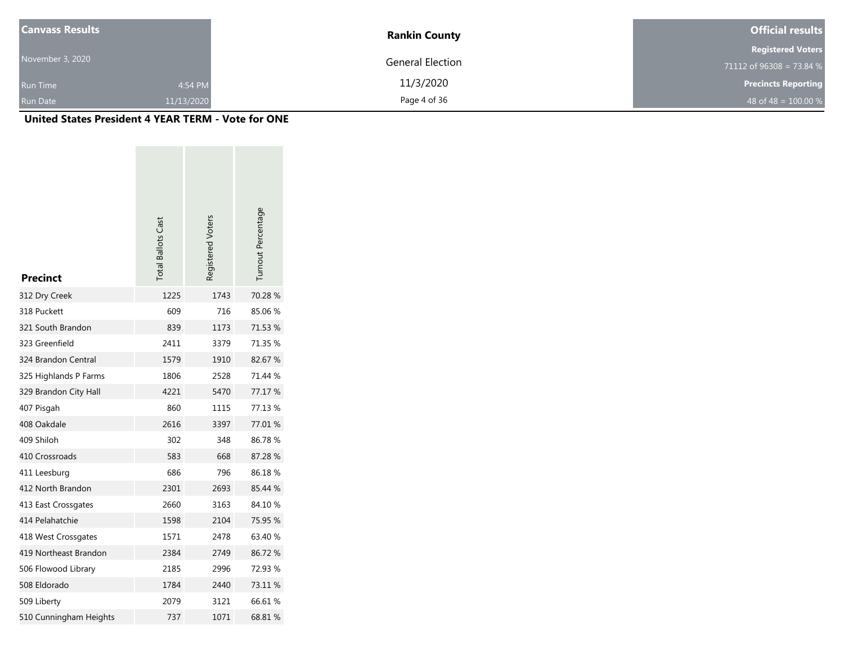| <b>Canvass Results</b> |            | <b>Rankin County</b>    | <b>Official results</b>    |
|------------------------|------------|-------------------------|----------------------------|
|                        |            |                         | <b>Registered Voters</b>   |
| November 3, 2020       |            | <b>General Election</b> | 71112 of $96308 = 73.84$ % |
| <b>Run Time</b>        | 4:54 PM    | 11/3/2020               | <b>Precincts Reporting</b> |
| <b>Run Date</b>        | 11/13/2020 | Page 4 of 36            | 48 of 48 = $100.00\%$      |

| <b>Precinct</b>        | <b>Total Ballots Cast</b> | Registered Voters | Turnout Percentage |
|------------------------|---------------------------|-------------------|--------------------|
| 312 Dry Creek          | 1225                      | 1743              | 70.28 %            |
| 318 Puckett            | 609                       | 716               | 85.06%             |
| 321 South Brandon      | 839                       | 1173              | 71.53 %            |
| 323 Greenfield         | 2411                      | 3379              | 71.35 %            |
| 324 Brandon Central    | 1579                      | 1910              | 82.67 %            |
| 325 Highlands P Farms  | 1806                      | 2528              | 71.44 %            |
| 329 Brandon City Hall  | 4221                      | 5470              | 77.17 %            |
| 407 Pisgah             | 860                       | 1115              | 77.13 %            |
| 408 Oakdale            | 2616                      | 3397              | 77.01 %            |
| 409 Shiloh             | 302                       | 348               | 86.78%             |
| 410 Crossroads         | 583                       | 668               | 87.28 %            |
| 411 Leesburg           | 686                       | 796               | 86.18%             |
| 412 North Brandon      | 2301                      | 2693              | 85.44 %            |
| 413 East Crossgates    | 2660                      | 3163              | 84.10%             |
| 414 Pelahatchie        | 1598                      | 2104              | 75.95 %            |
| 418 West Crossgates    | 1571                      | 2478              | 63.40 %            |
| 419 Northeast Brandon  | 2384                      | 2749              | 86.72%             |
| 506 Flowood Library    | 2185                      | 2996              | 72.93 %            |
| 508 Eldorado           | 1784                      | 2440              | 73.11 %            |
| 509 Liberty            | 2079                      | 3121              | 66.61 %            |
| 510 Cunningham Heights | 737                       | 1071              | 68.81 %            |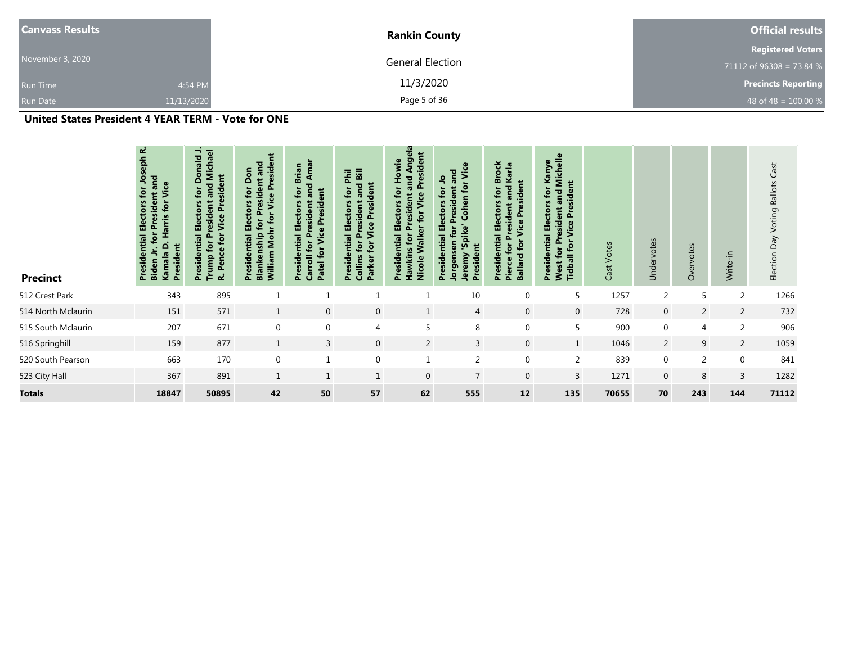| <b>Canvass Results</b> |            | <b>Rankin County</b> | <b>Official results</b>    |
|------------------------|------------|----------------------|----------------------------|
|                        |            |                      | <b>Registered Voters</b>   |
| November 3, 2020       |            | General Election     | 71112 of 96308 = 73.84 %   |
| <b>Run Time</b>        | 4:54 PM    | 11/3/2020            | <b>Precincts Reporting</b> |
| Run Date               | 11/13/2020 | Page 5 of 36         | 48 of 48 = $100.00\%$      |

| <b>Precinct</b>    | نم<br>ᅙ<br>흑<br>and<br>Vice<br>tor<br>ectors<br>tor<br>Harris<br>Ħ<br>௳<br>ential<br>President<br>٥<br>$\mathbf{\sigma}$<br>Kamal<br>Presid<br>Biden | .and Michael<br>side<br>ent<br><b>Vice Presid</b><br><b>Electors</b><br>resident<br>Pence for<br>Ā.<br>Presidential<br>for<br>Trump <sup>-</sup><br>نہ | <b>Vice President</b><br>for President and<br>Don<br>tor<br><b>Presidential Electors</b><br><b>William Mohrfor</b><br><b>Blankenship</b> | Amar<br><b>Brian</b><br>and<br>tor<br>$\overline{5}$<br><b>Presidential Electors</b><br>Preside<br>resident<br>Vice<br>Carroll for<br>$\overline{5}$<br>Patel | and Bill<br>Phil<br><b>Vice President</b><br>tor<br>Presidential Electors<br><b>Collins for President</b><br>Parker for | Angela<br>President<br>for Howie<br>$\overline{e}$<br>Vice<br>Ĕ<br>ential Electors<br>for<br>՟<br>Nicole Walker<br>후<br>Hawkins<br>Presid | Vice<br>and<br>٩<br>for<br>President<br>$\mathbf{p}$<br>Cohen<br>ectors<br>'Spike'<br>œ<br>Jorgensen for<br>Presidential<br>ent<br>Jeremy<br>Presid | <b>Presidential Electors for Brock</b><br>Karla<br><b>Vice President</b><br>and<br>sident<br>for Pi<br>Ballard for<br><b>Pierce</b> | Michelle<br>Kanye<br>$\mathbf{E}$<br>tor<br>g<br>side<br><b>Presidential Electors</b><br>$\mathbf{G}$<br><b>West for President</b><br>ō<br>Vice<br>6 <sub>r</sub><br><b>Tidball</b> | Cast Votes | Undervotes     | Overvotes      | Write-in       | Cast<br><b>Ballots</b><br>Election Day Voting |
|--------------------|------------------------------------------------------------------------------------------------------------------------------------------------------|--------------------------------------------------------------------------------------------------------------------------------------------------------|------------------------------------------------------------------------------------------------------------------------------------------|---------------------------------------------------------------------------------------------------------------------------------------------------------------|-------------------------------------------------------------------------------------------------------------------------|-------------------------------------------------------------------------------------------------------------------------------------------|-----------------------------------------------------------------------------------------------------------------------------------------------------|-------------------------------------------------------------------------------------------------------------------------------------|-------------------------------------------------------------------------------------------------------------------------------------------------------------------------------------|------------|----------------|----------------|----------------|-----------------------------------------------|
| 512 Crest Park     | 343                                                                                                                                                  | 895                                                                                                                                                    |                                                                                                                                          |                                                                                                                                                               | $\mathbf{1}$                                                                                                            |                                                                                                                                           | 10                                                                                                                                                  | $\mathbf 0$                                                                                                                         | 5                                                                                                                                                                                   | 1257       | $\overline{2}$ | 5              | $\overline{2}$ | 1266                                          |
| 514 North Mclaurin | 151                                                                                                                                                  | 571                                                                                                                                                    | $\mathbf{1}$                                                                                                                             | $\mathbf 0$                                                                                                                                                   | $\mathbf 0$                                                                                                             | $\mathbf{1}$                                                                                                                              | $\overline{4}$                                                                                                                                      | $\mathbf 0$                                                                                                                         | $\mathbf 0$                                                                                                                                                                         | 728        | $\mathbf 0$    | $\overline{2}$ | $\overline{2}$ | 732                                           |
| 515 South Mclaurin | 207                                                                                                                                                  | 671                                                                                                                                                    | $\mathbf 0$                                                                                                                              | $\mathbf{0}$                                                                                                                                                  | 4                                                                                                                       | 5                                                                                                                                         | 8                                                                                                                                                   | $\mathbf 0$                                                                                                                         | 5                                                                                                                                                                                   | 900        | $\mathbf 0$    | $\overline{4}$ | 2              | 906                                           |
| 516 Springhill     | 159                                                                                                                                                  | 877                                                                                                                                                    | $\mathbf{1}$                                                                                                                             | $\overline{3}$                                                                                                                                                | $\overline{0}$                                                                                                          | $\overline{2}$                                                                                                                            | $\overline{3}$                                                                                                                                      | $\mathbf{0}$                                                                                                                        | $\mathbf{1}$                                                                                                                                                                        | 1046       | $\overline{2}$ | 9              | $\overline{2}$ | 1059                                          |
| 520 South Pearson  | 663                                                                                                                                                  | 170                                                                                                                                                    | $\mathbf 0$                                                                                                                              | $\mathbf{1}$                                                                                                                                                  | 0                                                                                                                       | $\mathbf{1}$                                                                                                                              | $\overline{2}$                                                                                                                                      | $\mathbf 0$                                                                                                                         | $\overline{2}$                                                                                                                                                                      | 839        | $\mathbf 0$    | $\overline{2}$ | $\mathbf{0}$   | 841                                           |
| 523 City Hall      | 367                                                                                                                                                  | 891                                                                                                                                                    | $\mathbf{1}$                                                                                                                             | $\mathbf{1}$                                                                                                                                                  | $\mathbf{1}$                                                                                                            | $\mathbf 0$                                                                                                                               | $\overline{7}$                                                                                                                                      | $\mathbf 0$                                                                                                                         | $\overline{3}$                                                                                                                                                                      | 1271       | 0              | 8              | 3              | 1282                                          |
| <b>Totals</b>      | 18847                                                                                                                                                | 50895                                                                                                                                                  | 42                                                                                                                                       | 50                                                                                                                                                            | 57                                                                                                                      | 62                                                                                                                                        | 555                                                                                                                                                 | 12                                                                                                                                  | 135                                                                                                                                                                                 | 70655      | 70             | 243            | 144            | 71112                                         |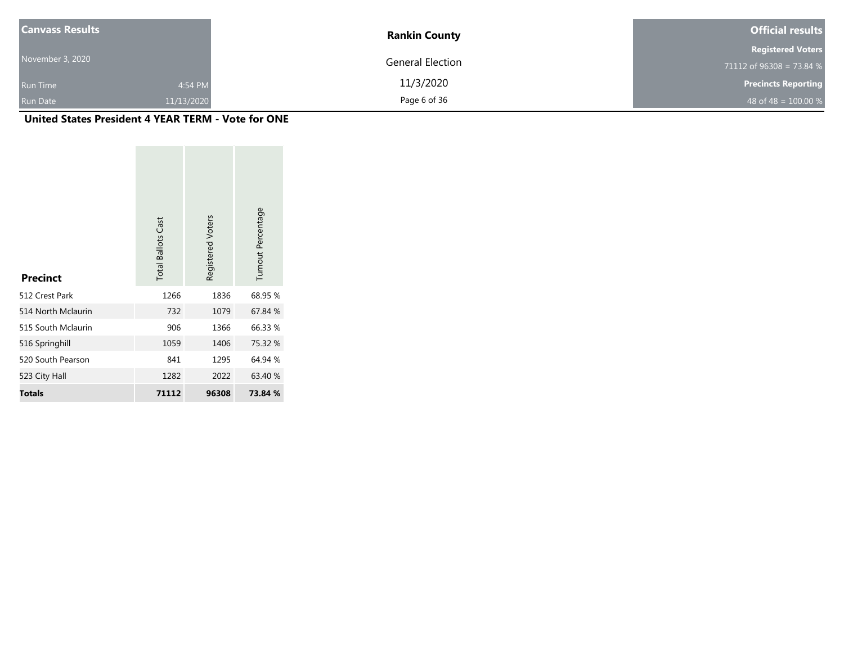| <b>Canvass Results</b> |            | <b>Rankin County</b>    | <b>Official results</b>    |
|------------------------|------------|-------------------------|----------------------------|
|                        |            |                         | <b>Registered Voters</b>   |
| November 3, 2020       |            | <b>General Election</b> | 71112 of 96308 = 73.84 %   |
| <b>Run Time</b>        | 4:54 PM    | 11/3/2020               | <b>Precincts Reporting</b> |
| <b>Run Date</b>        | 11/13/2020 | Page 6 of 36            | 48 of 48 = $100.00\%$      |

| <b>Precinct</b>    | <b>Total Ballots Cast</b> | Registered Voters | Turnout Percentage |
|--------------------|---------------------------|-------------------|--------------------|
| 512 Crest Park     | 1266                      | 1836              | 68.95 %            |
| 514 North Mclaurin | 732                       | 1079              | 67.84 %            |
| 515 South Mclaurin | 906                       | 1366              | 66.33 %            |
| 516 Springhill     | 1059                      | 1406              | 75.32 %            |
| 520 South Pearson  | 841                       | 1295              | 64.94 %            |
| 523 City Hall      | 1282                      | 2022              | 63.40 %            |
| <b>Totals</b>      | 71112                     | 96308             | 73.84 %            |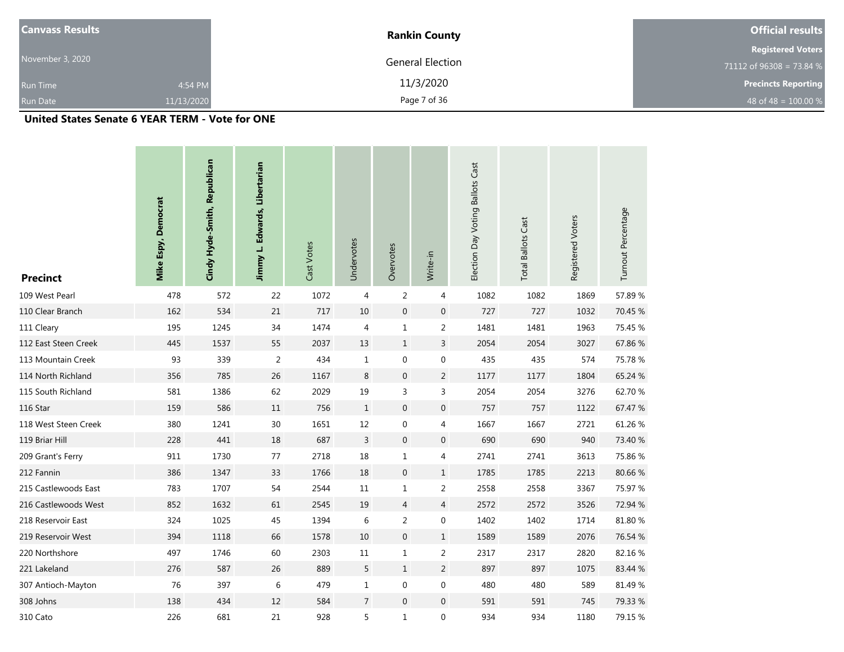| <b>Canvass Results</b> |            | <b>Rankin County</b>    | <b>Official results</b>    |
|------------------------|------------|-------------------------|----------------------------|
|                        |            |                         | <b>Registered Voters</b>   |
| November 3, 2020       |            | <b>General Election</b> | 71112 of 96308 = 73.84 $%$ |
| <b>Run Time</b>        | 4:54 PM    | 11/3/2020               | <b>Precincts Reporting</b> |
| <b>Run Date</b>        | 11/13/2020 | Page 7 of 36            | 48 of 48 = $100.00\%$      |

## **United States Senate 6 YEAR TERM - Vote for ONE**

| <b>Precinct</b>      | Mike Espy, Democrat | Cindy Hyde-Smith, Republican | Jimmy L. Edwards, Libertarian | Cast Votes | Undervotes     | Overvotes        | Write-in         | Election Day Voting Ballots Cast | <b>Total Ballots Cast</b> | Registered Voters | Turnout Percentage |
|----------------------|---------------------|------------------------------|-------------------------------|------------|----------------|------------------|------------------|----------------------------------|---------------------------|-------------------|--------------------|
| 109 West Pearl       | 478                 | 572                          | 22                            | 1072       | 4              | $\overline{2}$   | 4                | 1082                             | 1082                      | 1869              | 57.89%             |
| 110 Clear Branch     | 162                 | 534                          | 21                            | 717        | 10             | $\boldsymbol{0}$ | $\boldsymbol{0}$ | 727                              | 727                       | 1032              | 70.45 %            |
| 111 Cleary           | 195                 | 1245                         | 34                            | 1474       | 4              | $\mathbf 1$      | $\overline{2}$   | 1481                             | 1481                      | 1963              | 75.45 %            |
| 112 East Steen Creek | 445                 | 1537                         | 55                            | 2037       | 13             | $\mathbf{1}$     | $\overline{3}$   | 2054                             | 2054                      | 3027              | 67.86 %            |
| 113 Mountain Creek   | 93                  | 339                          | $\overline{2}$                | 434        | $\mathbf{1}$   | $\boldsymbol{0}$ | $\boldsymbol{0}$ | 435                              | 435                       | 574               | 75.78 %            |
| 114 North Richland   | 356                 | 785                          | $26\,$                        | 1167       | $\,8\,$        | $\boldsymbol{0}$ | $\overline{2}$   | 1177                             | 1177                      | 1804              | 65.24 %            |
| 115 South Richland   | 581                 | 1386                         | 62                            | 2029       | 19             | 3                | $\overline{3}$   | 2054                             | 2054                      | 3276              | 62.70 %            |
| 116 Star             | 159                 | 586                          | 11                            | 756        | $\mathbf{1}$   | $\boldsymbol{0}$ | $\boldsymbol{0}$ | 757                              | 757                       | 1122              | 67.47 %            |
| 118 West Steen Creek | 380                 | 1241                         | 30                            | 1651       | 12             | $\boldsymbol{0}$ | 4                | 1667                             | 1667                      | 2721              | 61.26%             |
| 119 Briar Hill       | 228                 | 441                          | $18\,$                        | 687        | $\overline{3}$ | $\boldsymbol{0}$ | $\boldsymbol{0}$ | 690                              | 690                       | 940               | 73.40 %            |
| 209 Grant's Ferry    | 911                 | 1730                         | 77                            | 2718       | 18             | $\mathbf 1$      | 4                | 2741                             | 2741                      | 3613              | 75.86 %            |
| 212 Fannin           | 386                 | 1347                         | 33                            | 1766       | 18             | $\boldsymbol{0}$ | $\mathbf{1}$     | 1785                             | 1785                      | 2213              | 80.66 %            |
| 215 Castlewoods East | 783                 | 1707                         | 54                            | 2544       | 11             | $\mathbf 1$      | $\overline{2}$   | 2558                             | 2558                      | 3367              | 75.97 %            |
| 216 Castlewoods West | 852                 | 1632                         | 61                            | 2545       | 19             | $\overline{4}$   | $\overline{4}$   | 2572                             | 2572                      | 3526              | 72.94 %            |
| 218 Reservoir East   | 324                 | 1025                         | 45                            | 1394       | 6              | $\overline{2}$   | $\boldsymbol{0}$ | 1402                             | 1402                      | 1714              | 81.80 %            |
| 219 Reservoir West   | 394                 | 1118                         | 66                            | 1578       | 10             | $\boldsymbol{0}$ | $\mathbf{1}$     | 1589                             | 1589                      | 2076              | 76.54 %            |
| 220 Northshore       | 497                 | 1746                         | 60                            | 2303       | 11             | $\mathbf 1$      | $\overline{2}$   | 2317                             | 2317                      | 2820              | 82.16%             |
| 221 Lakeland         | 276                 | 587                          | 26                            | 889        | 5              | $\mathbf{1}$     | $\overline{2}$   | 897                              | 897                       | 1075              | 83.44 %            |
| 307 Antioch-Mayton   | 76                  | 397                          | 6                             | 479        | $\mathbf{1}$   | $\mathbf 0$      | $\boldsymbol{0}$ | 480                              | 480                       | 589               | 81.49 %            |
| 308 Johns            | 138                 | 434                          | 12                            | 584        | $\overline{7}$ | $\boldsymbol{0}$ | $\mathbf 0$      | 591                              | 591                       | 745               | 79.33 %            |
| 310 Cato             | 226                 | 681                          | 21                            | 928        | 5              | $\mathbf 1$      | $\boldsymbol{0}$ | 934                              | 934                       | 1180              | 79.15 %            |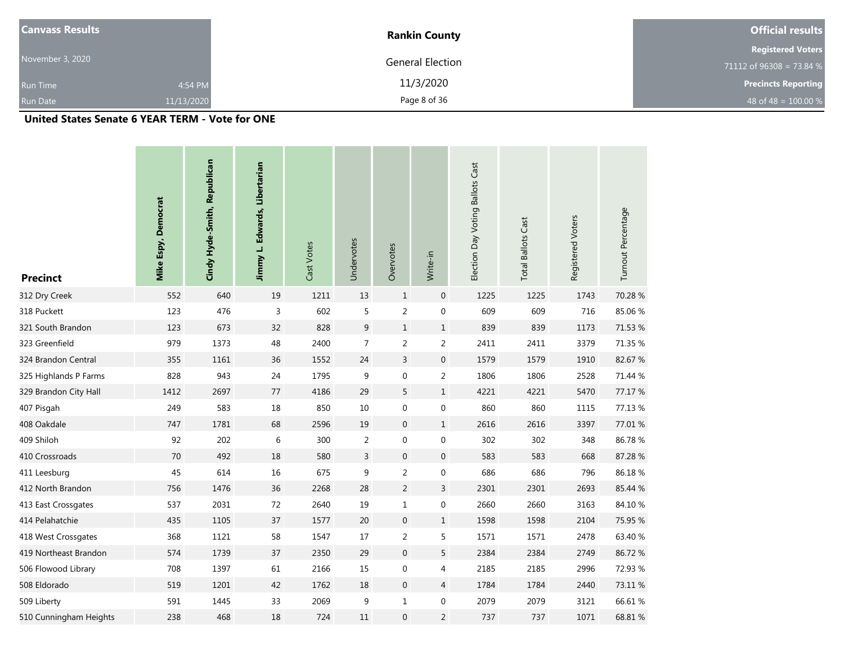| <b>Canvass Results</b> |            | <b>Rankin County</b> | <b>Official results</b>    |
|------------------------|------------|----------------------|----------------------------|
|                        |            |                      | <b>Registered Voters</b>   |
| November 3, 2020       |            | General Election     | 71112 of $96308 = 73.84$ % |
| <b>Run Time</b>        | 4:54 PM    | 11/3/2020            | <b>Precincts Reporting</b> |
| <b>Run Date</b>        | 11/13/2020 | Page 8 of 36         | 48 of 48 = $100.00\%$      |

## **United States Senate 6 YEAR TERM - Vote for ONE**

| <b>Precinct</b>        | <b>Mike Espy, Democrat</b> | Cindy Hyde-Smith, Republican | Jimmy L. Edwards, Libertarian | Cast Votes | Undervotes     | Overvotes        | Write-in         | Election Day Voting Ballots Cast | <b>Total Ballots Cast</b> | Registered Voters | Turnout Percentage |
|------------------------|----------------------------|------------------------------|-------------------------------|------------|----------------|------------------|------------------|----------------------------------|---------------------------|-------------------|--------------------|
| 312 Dry Creek          | 552                        | 640                          | 19                            | 1211       | 13             | $\mathbf{1}$     | $\pmb{0}$        | 1225                             | 1225                      | 1743              | 70.28 %            |
| 318 Puckett            | 123                        | 476                          | 3                             | 602        | 5              | $\overline{2}$   | $\boldsymbol{0}$ | 609                              | 609                       | 716               | 85.06%             |
| 321 South Brandon      | 123                        | 673                          | 32                            | 828        | 9              | $\mathbf{1}$     | $\mathbf{1}$     | 839                              | 839                       | 1173              | 71.53 %            |
| 323 Greenfield         | 979                        | 1373                         | 48                            | 2400       | $\overline{7}$ | $\overline{2}$   | $\overline{2}$   | 2411                             | 2411                      | 3379              | 71.35 %            |
| 324 Brandon Central    | 355                        | 1161                         | 36                            | 1552       | 24             | $\overline{3}$   | $\boldsymbol{0}$ | 1579                             | 1579                      | 1910              | 82.67 %            |
| 325 Highlands P Farms  | 828                        | 943                          | 24                            | 1795       | 9              | $\boldsymbol{0}$ | $\overline{2}$   | 1806                             | 1806                      | 2528              | 71.44 %            |
| 329 Brandon City Hall  | 1412                       | 2697                         | 77                            | 4186       | 29             | 5                | $\mathbf{1}$     | 4221                             | 4221                      | 5470              | 77.17 %            |
| 407 Pisgah             | 249                        | 583                          | 18                            | 850        | $10\,$         | $\boldsymbol{0}$ | $\boldsymbol{0}$ | 860                              | 860                       | 1115              | 77.13 %            |
| 408 Oakdale            | 747                        | 1781                         | 68                            | 2596       | 19             | $\boldsymbol{0}$ | $\mathbf{1}$     | 2616                             | 2616                      | 3397              | 77.01 %            |
| 409 Shiloh             | 92                         | 202                          | 6                             | 300        | $\overline{2}$ | $\boldsymbol{0}$ | $\boldsymbol{0}$ | 302                              | 302                       | 348               | 86.78%             |
| 410 Crossroads         | 70                         | 492                          | 18                            | 580        | $\mathsf{3}$   | $\mathbf 0$      | $\mathbf 0$      | 583                              | 583                       | 668               | 87.28 %            |
| 411 Leesburg           | 45                         | 614                          | 16                            | 675        | 9              | $\overline{2}$   | $\boldsymbol{0}$ | 686                              | 686                       | 796               | 86.18%             |
| 412 North Brandon      | 756                        | 1476                         | 36                            | 2268       | 28             | $\overline{2}$   | $\overline{3}$   | 2301                             | 2301                      | 2693              | 85.44 %            |
| 413 East Crossgates    | 537                        | 2031                         | 72                            | 2640       | 19             | $\mathbf 1$      | $\boldsymbol{0}$ | 2660                             | 2660                      | 3163              | 84.10%             |
| 414 Pelahatchie        | 435                        | 1105                         | 37                            | 1577       | 20             | $\mathbf 0$      | $\mathbf{1}$     | 1598                             | 1598                      | 2104              | 75.95 %            |
| 418 West Crossgates    | 368                        | 1121                         | 58                            | 1547       | 17             | $\overline{2}$   | 5                | 1571                             | 1571                      | 2478              | 63.40 %            |
| 419 Northeast Brandon  | 574                        | 1739                         | 37                            | 2350       | 29             | $\boldsymbol{0}$ | 5                | 2384                             | 2384                      | 2749              | 86.72%             |
| 506 Flowood Library    | 708                        | 1397                         | 61                            | 2166       | 15             | $\mathbf 0$      | 4                | 2185                             | 2185                      | 2996              | 72.93 %            |
| 508 Eldorado           | 519                        | 1201                         | 42                            | 1762       | 18             | $\mathbf 0$      | $\overline{4}$   | 1784                             | 1784                      | 2440              | 73.11 %            |
| 509 Liberty            | 591                        | 1445                         | 33                            | 2069       | 9              | $\mathbf 1$      | 0                | 2079                             | 2079                      | 3121              | 66.61%             |
| 510 Cunningham Heights | 238                        | 468                          | 18                            | 724        | 11             | $\boldsymbol{0}$ | $\overline{2}$   | 737                              | 737                       | 1071              | 68.81 %            |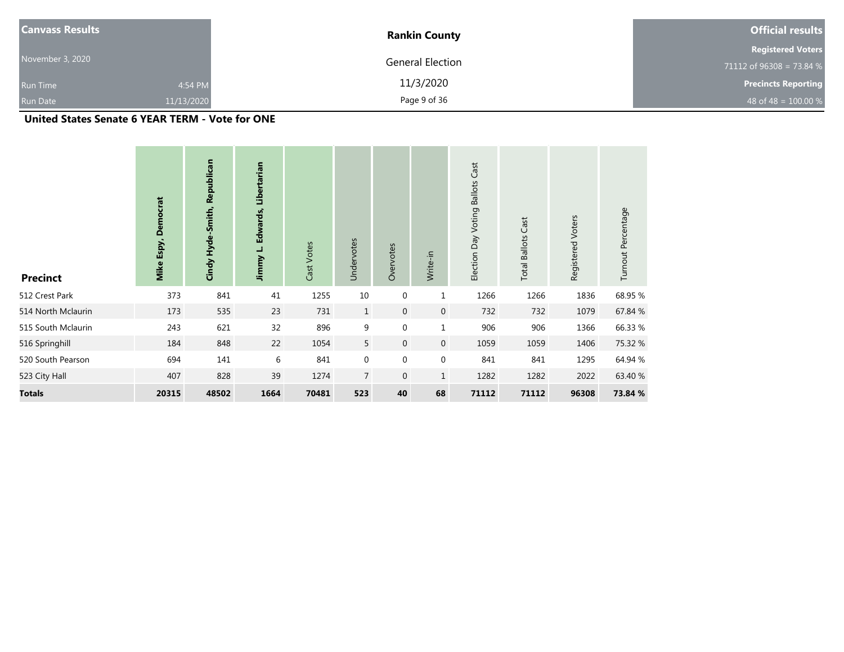| <b>Canvass Results</b> |            | <b>Rankin County</b> | <b>Official results</b>    |
|------------------------|------------|----------------------|----------------------------|
|                        |            |                      | <b>Registered Voters</b>   |
| November 3, 2020       |            | General Election     | 71112 of 96308 = 73.84 $%$ |
| <b>Run Time</b>        | 4:54 PM    | 11/3/2020            | <b>Precincts Reporting</b> |
| <b>Run Date</b>        | 11/13/2020 | Page 9 of 36         | 48 of 48 = $100.00\%$      |

## **United States Senate 6 YEAR TERM - Vote for ONE**

| <b>Precinct</b>    | <b>Democrat</b><br>Mike Espy, | Cindy Hyde-Smith, Republican | Libertarian<br>Jimmy L. Edwards, | Cast Votes | Undervotes     | Overvotes    | Write-in         | Cast<br>Election Day Voting Ballots | Cast<br><b>Total Ballots</b> | Registered Voters | Turnout Percentage |
|--------------------|-------------------------------|------------------------------|----------------------------------|------------|----------------|--------------|------------------|-------------------------------------|------------------------------|-------------------|--------------------|
| 512 Crest Park     | 373                           | 841                          | 41                               | 1255       | 10             | $\mathbf 0$  | $\mathbf 1$      | 1266                                | 1266                         | 1836              | 68.95 %            |
| 514 North Mclaurin | 173                           | 535                          | 23                               | 731        | $\mathbf{1}$   | $\mathbf{0}$ | $\mathbf 0$      | 732                                 | 732                          | 1079              | 67.84 %            |
| 515 South Mclaurin | 243                           | 621                          | 32                               | 896        | 9              | $\mathbf 0$  | $\mathbf{1}$     | 906                                 | 906                          | 1366              | 66.33 %            |
| 516 Springhill     | 184                           | 848                          | 22                               | 1054       | 5 <sup>5</sup> | $\mathbf 0$  | $\mathbf 0$      | 1059                                | 1059                         | 1406              | 75.32 %            |
| 520 South Pearson  | 694                           | 141                          | 6                                | 841        | $\mathbf{0}$   | $\mathbf 0$  | $\boldsymbol{0}$ | 841                                 | 841                          | 1295              | 64.94 %            |
| 523 City Hall      | 407                           | 828                          | 39                               | 1274       | $\overline{7}$ | $\mathbf 0$  | $\mathbf{1}$     | 1282                                | 1282                         | 2022              | 63.40 %            |
| <b>Totals</b>      | 20315                         | 48502                        | 1664                             | 70481      | 523            | 40           | 68               | 71112                               | 71112                        | 96308             | 73.84 %            |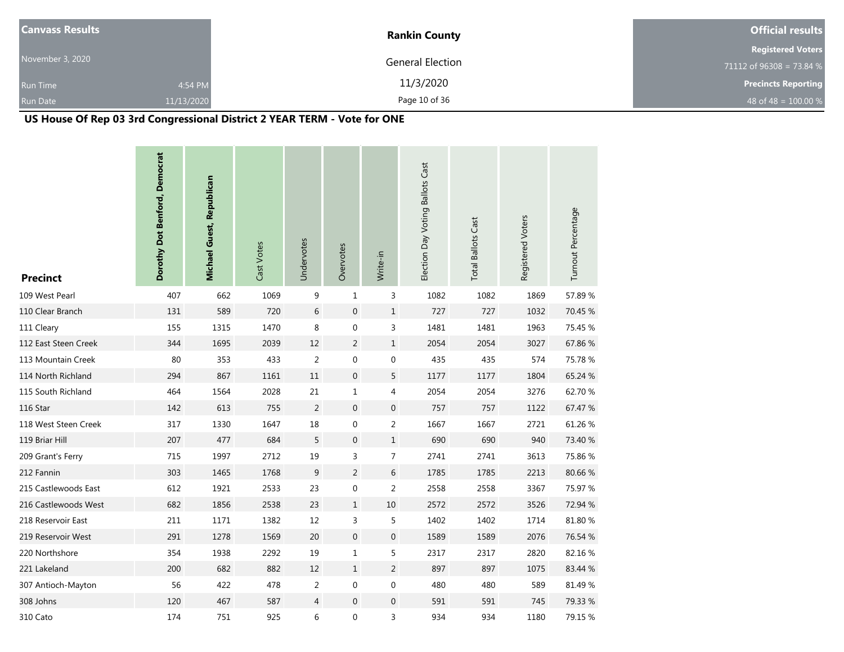| <b>Canvass Results</b> |            | <b>Rankin County</b>    | <b>Official results</b>    |
|------------------------|------------|-------------------------|----------------------------|
|                        |            |                         | <b>Registered Voters</b>   |
| November 3, 2020       |            | <b>General Election</b> | 71112 of 96308 = 73.84 %   |
| <b>Run Time</b>        | 4:54 PM    | 11/3/2020               | <b>Precincts Reporting</b> |
| <b>Run Date</b>        | 11/13/2020 | Page 10 of 36           | 48 of 48 = $100.00 %$      |

# **US House Of Rep 03 3rd Congressional District 2 YEAR TERM - Vote for ONE**

| <b>Precinct</b>      | Dorothy Dot Benford, Democrat | Michael Guest, Republican | Cast Votes | Undervotes     | Overvotes        | Write-in         | Election Day Voting Ballots Cast | <b>Total Ballots Cast</b> | Registered Voters | Turnout Percentage |
|----------------------|-------------------------------|---------------------------|------------|----------------|------------------|------------------|----------------------------------|---------------------------|-------------------|--------------------|
| 109 West Pearl       | 407                           | 662                       | 1069       | 9              | $\mathbf{1}$     | 3                | 1082                             | 1082                      | 1869              | 57.89%             |
| 110 Clear Branch     | 131                           | 589                       | 720        | $\,$ 6 $\,$    | $\boldsymbol{0}$ | $\mathbf{1}$     | 727                              | 727                       | 1032              | 70.45 %            |
| 111 Cleary           | 155                           | 1315                      | 1470       | 8              | $\boldsymbol{0}$ | 3                | 1481                             | 1481                      | 1963              | 75.45 %            |
| 112 East Steen Creek | 344                           | 1695                      | 2039       | 12             | $\overline{2}$   | $\mathbf{1}$     | 2054                             | 2054                      | 3027              | 67.86%             |
| 113 Mountain Creek   | 80                            | 353                       | 433        | $\overline{2}$ | $\boldsymbol{0}$ | $\boldsymbol{0}$ | 435                              | 435                       | 574               | 75.78 %            |
| 114 North Richland   | 294                           | 867                       | 1161       | 11             | $\boldsymbol{0}$ | 5                | 1177                             | 1177                      | 1804              | 65.24 %            |
| 115 South Richland   | 464                           | 1564                      | 2028       | 21             | $\mathbf{1}$     | 4                | 2054                             | 2054                      | 3276              | 62.70%             |
| 116 Star             | 142                           | 613                       | 755        | $\overline{2}$ | $\boldsymbol{0}$ | $\mathbf 0$      | 757                              | 757                       | 1122              | 67.47 %            |
| 118 West Steen Creek | 317                           | 1330                      | 1647       | 18             | $\boldsymbol{0}$ | $\overline{2}$   | 1667                             | 1667                      | 2721              | 61.26%             |
| 119 Briar Hill       | 207                           | 477                       | 684        | $\sqrt{5}$     | $\boldsymbol{0}$ | $1\,$            | 690                              | 690                       | 940               | 73.40 %            |
| 209 Grant's Ferry    | 715                           | 1997                      | 2712       | 19             | 3                | $\overline{7}$   | 2741                             | 2741                      | 3613              | 75.86 %            |
| 212 Fannin           | 303                           | 1465                      | 1768       | 9              | $\overline{c}$   | $\,$ 6 $\,$      | 1785                             | 1785                      | 2213              | 80.66%             |
| 215 Castlewoods East | 612                           | 1921                      | 2533       | 23             | $\boldsymbol{0}$ | $\overline{2}$   | 2558                             | 2558                      | 3367              | 75.97 %            |
| 216 Castlewoods West | 682                           | 1856                      | 2538       | 23             | $\mathbf{1}$     | $10\,$           | 2572                             | 2572                      | 3526              | 72.94 %            |
| 218 Reservoir East   | 211                           | 1171                      | 1382       | $12\,$         | 3                | 5                | 1402                             | 1402                      | 1714              | 81.80%             |
| 219 Reservoir West   | 291                           | 1278                      | 1569       | 20             | $\mathbf 0$      | $\boldsymbol{0}$ | 1589                             | 1589                      | 2076              | 76.54 %            |
| 220 Northshore       | 354                           | 1938                      | 2292       | 19             | $\mathbf 1$      | $\mathsf S$      | 2317                             | 2317                      | 2820              | 82.16%             |
| 221 Lakeland         | 200                           | 682                       | 882        | 12             | $\mathbf{1}$     | $\overline{2}$   | 897                              | 897                       | 1075              | 83.44 %            |
| 307 Antioch-Mayton   | 56                            | 422                       | 478        | $\overline{2}$ | $\boldsymbol{0}$ | $\boldsymbol{0}$ | 480                              | 480                       | 589               | 81.49%             |
| 308 Johns            | 120                           | 467                       | 587        | $\overline{4}$ | $\mathbf 0$      | $\mathbf 0$      | 591                              | 591                       | 745               | 79.33 %            |
| 310 Cato             | 174                           | 751                       | 925        | 6              | $\mathbf 0$      | 3                | 934                              | 934                       | 1180              | 79.15 %            |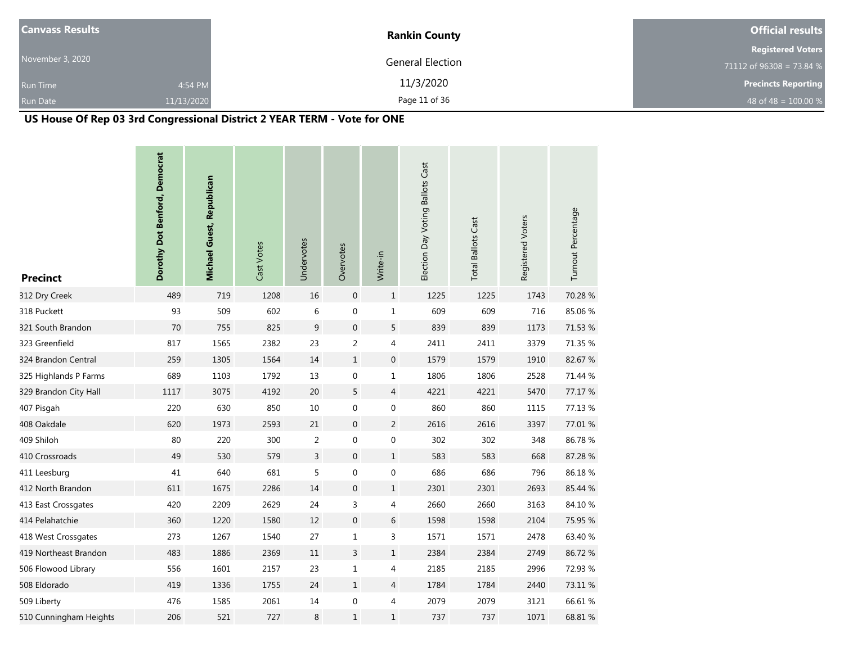| <b>Canvass Results</b> |            | <b>Rankin County</b>    | <b>Official results</b>    |
|------------------------|------------|-------------------------|----------------------------|
|                        |            |                         | <b>Registered Voters</b>   |
| November 3, 2020       |            | <b>General Election</b> | 71112 of 96308 = 73.84 %   |
| <b>Run Time</b>        | 4:54 PM    | 11/3/2020               | <b>Precincts Reporting</b> |
| <b>Run Date</b>        | 11/13/2020 | Page 11 of 36           | 48 of 48 = $100.00 %$      |

# **US House Of Rep 03 3rd Congressional District 2 YEAR TERM - Vote for ONE**

| <b>Precinct</b>        | Dorothy Dot Benford, Democrat | Michael Guest, Republican | Cast Votes | Undervotes     | Overvotes        | Write-in         | Election Day Voting Ballots Cast | <b>Total Ballots Cast</b> | Registered Voters | Turnout Percentage |
|------------------------|-------------------------------|---------------------------|------------|----------------|------------------|------------------|----------------------------------|---------------------------|-------------------|--------------------|
| 312 Dry Creek          | 489                           | 719                       | 1208       | 16             | $\boldsymbol{0}$ | $\mathbf{1}$     | 1225                             | 1225                      | 1743              | 70.28 %            |
| 318 Puckett            | 93                            | 509                       | 602        | $\,$ 6 $\,$    | $\boldsymbol{0}$ | $\mathbf{1}$     | 609                              | 609                       | 716               | 85.06%             |
| 321 South Brandon      | 70                            | 755                       | 825        | 9              | $\boldsymbol{0}$ | 5                | 839                              | 839                       | 1173              | 71.53 %            |
| 323 Greenfield         | 817                           | 1565                      | 2382       | 23             | $\overline{c}$   | 4                | 2411                             | 2411                      | 3379              | 71.35 %            |
| 324 Brandon Central    | 259                           | 1305                      | 1564       | 14             | $\mathbf{1}$     | $\mathbf 0$      | 1579                             | 1579                      | 1910              | 82.67 %            |
| 325 Highlands P Farms  | 689                           | 1103                      | 1792       | $13\,$         | $\boldsymbol{0}$ | 1                | 1806                             | 1806                      | 2528              | 71.44 %            |
| 329 Brandon City Hall  | 1117                          | 3075                      | 4192       | 20             | 5                | $\overline{4}$   | 4221                             | 4221                      | 5470              | 77.17 %            |
| 407 Pisgah             | 220                           | 630                       | 850        | $10\,$         | $\pmb{0}$        | $\boldsymbol{0}$ | 860                              | 860                       | 1115              | 77.13 %            |
| 408 Oakdale            | 620                           | 1973                      | 2593       | 21             | $\boldsymbol{0}$ | 2                | 2616                             | 2616                      | 3397              | 77.01 %            |
| 409 Shiloh             | 80                            | 220                       | 300        | $\overline{2}$ | $\boldsymbol{0}$ | $\boldsymbol{0}$ | 302                              | 302                       | 348               | 86.78%             |
| 410 Crossroads         | 49                            | 530                       | 579        | $\overline{3}$ | $\boldsymbol{0}$ | $\mathbf{1}$     | 583                              | 583                       | 668               | 87.28%             |
| 411 Leesburg           | 41                            | 640                       | 681        | 5              | $\boldsymbol{0}$ | $\boldsymbol{0}$ | 686                              | 686                       | 796               | 86.18%             |
| 412 North Brandon      | 611                           | 1675                      | 2286       | 14             | $\boldsymbol{0}$ | $\mathbf{1}$     | 2301                             | 2301                      | 2693              | 85.44 %            |
| 413 East Crossgates    | 420                           | 2209                      | 2629       | 24             | 3                | 4                | 2660                             | 2660                      | 3163              | 84.10%             |
| 414 Pelahatchie        | 360                           | 1220                      | 1580       | 12             | $\boldsymbol{0}$ | 6                | 1598                             | 1598                      | 2104              | 75.95 %            |
| 418 West Crossgates    | 273                           | 1267                      | 1540       | 27             | $\mathbf{1}$     | 3                | 1571                             | 1571                      | 2478              | 63.40 %            |
| 419 Northeast Brandon  | 483                           | 1886                      | 2369       | 11             | $\overline{3}$   | $\mathbf 1$      | 2384                             | 2384                      | 2749              | 86.72%             |
| 506 Flowood Library    | 556                           | 1601                      | 2157       | 23             | $\mathbf{1}$     | 4                | 2185                             | 2185                      | 2996              | 72.93 %            |
| 508 Eldorado           | 419                           | 1336                      | 1755       | 24             | $\mathbf{1}$     | 4                | 1784                             | 1784                      | 2440              | 73.11 %            |
| 509 Liberty            | 476                           | 1585                      | 2061       | $14\,$         | $\mathbf 0$      | 4                | 2079                             | 2079                      | 3121              | 66.61%             |
| 510 Cunningham Heights | 206                           | 521                       | 727        | 8              | $\mathbf{1}$     | $1\,$            | 737                              | 737                       | 1071              | 68.81 %            |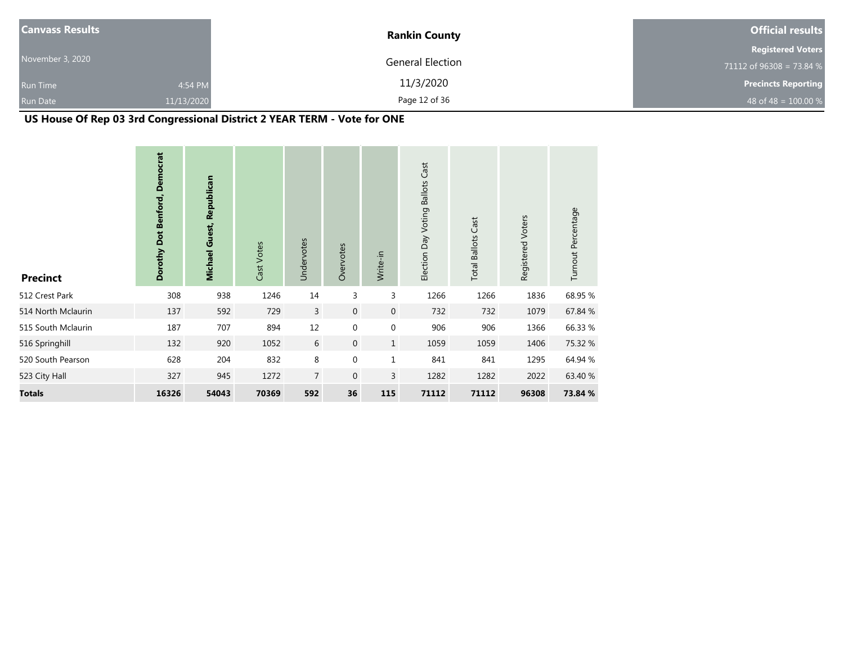| <b>Canvass Results</b> |            | <b>Rankin County</b> | <b>Official results</b>    |
|------------------------|------------|----------------------|----------------------------|
|                        |            |                      | <b>Registered Voters</b>   |
| November 3, 2020       |            | General Election     | 71112 of 96308 = 73.84 $%$ |
| <b>Run Time</b>        | 4:54 PM    | 11/3/2020            | <b>Precincts Reporting</b> |
| <b>Run Date</b>        | 11/13/2020 | Page 12 of 36        | 48 of 48 = $100.00\%$      |

# **US House Of Rep 03 3rd Congressional District 2 YEAR TERM - Vote for ONE**

| <b>Precinct</b>    | Dorothy Dot Benford, Democrat | <b>Michael Guest, Republican</b> | Cast Votes | Undervotes     | Overvotes    | Write-in         | Election Day Voting Ballots Cast | <b>Total Ballots Cast</b> | Registered Voters | Turnout Percentage |
|--------------------|-------------------------------|----------------------------------|------------|----------------|--------------|------------------|----------------------------------|---------------------------|-------------------|--------------------|
| 512 Crest Park     | 308                           | 938                              | 1246       | 14             | 3            | 3                | 1266                             | 1266                      | 1836              | 68.95 %            |
| 514 North Mclaurin | 137                           | 592                              | 729        | $\overline{3}$ | $\mathbf{0}$ | $\overline{0}$   | 732                              | 732                       | 1079              | 67.84 %            |
| 515 South Mclaurin | 187                           | 707                              | 894        | 12             | $\mathbf{0}$ | $\boldsymbol{0}$ | 906                              | 906                       | 1366              | 66.33 %            |
| 516 Springhill     | 132                           | 920                              | 1052       | 6              | $\mathbf 0$  | $\mathbf{1}$     | 1059                             | 1059                      | 1406              | 75.32 %            |
| 520 South Pearson  | 628                           | 204                              | 832        | 8              | $\mathbf 0$  | $\mathbf{1}$     | 841                              | 841                       | 1295              | 64.94 %            |
| 523 City Hall      | 327                           | 945                              | 1272       | $\overline{7}$ | $\mathbf{0}$ | 3                | 1282                             | 1282                      | 2022              | 63.40 %            |
| <b>Totals</b>      | 16326                         | 54043                            | 70369      | 592            | 36           | 115              | 71112                            | 71112                     | 96308             | 73.84 %            |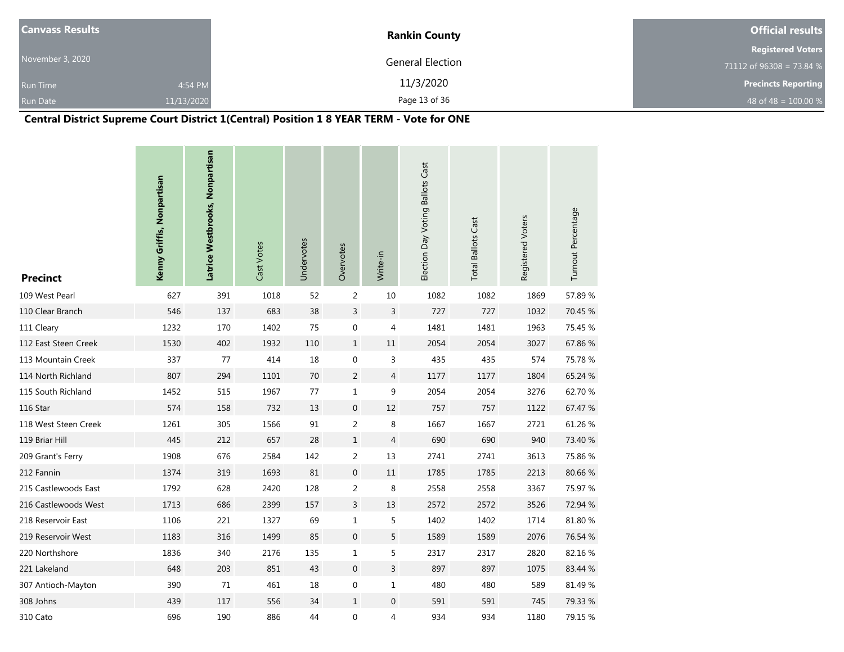| <b>Canvass Results</b> |            | <b>Rankin County</b>    | <b>Official results</b>    |  |  |
|------------------------|------------|-------------------------|----------------------------|--|--|
|                        |            |                         | <b>Registered Voters</b>   |  |  |
| November 3, 2020       |            | <b>General Election</b> | 71112 of 96308 = 73.84 %   |  |  |
| <b>Run Time</b>        | 4:54 PM    | 11/3/2020               | <b>Precincts Reporting</b> |  |  |
| <b>Run Date</b>        | 11/13/2020 | Page 13 of 36           | 48 of 48 = $100.00\%$      |  |  |

# **Central District Supreme Court District 1(Central) Position 1 8 YEAR TERM - Vote for ONE**

| <b>Precinct</b>      | Kenny Griffis, Nonpartisan | Latrice Westbrooks, Nonpartisan | Cast Votes | Undervotes | Overvotes        | Write-in       | Election Day Voting Ballots Cast | <b>Total Ballots Cast</b> | Registered Voters | Turnout Percentage |
|----------------------|----------------------------|---------------------------------|------------|------------|------------------|----------------|----------------------------------|---------------------------|-------------------|--------------------|
| 109 West Pearl       | 627                        | 391                             | 1018       | 52         | $\overline{2}$   | 10             | 1082                             | 1082                      | 1869              | 57.89%             |
| 110 Clear Branch     | 546                        | 137                             | 683        | 38         | $\mathsf{3}$     | 3              | 727                              | 727                       | 1032              | 70.45 %            |
| 111 Cleary           | 1232                       | 170                             | 1402       | 75         | $\mathbf 0$      | 4              | 1481                             | 1481                      | 1963              | 75.45 %            |
| 112 East Steen Creek | 1530                       | 402                             | 1932       | 110        | $1\,$            | $11\,$         | 2054                             | 2054                      | 3027              | 67.86%             |
| 113 Mountain Creek   | 337                        | 77                              | 414        | 18         | $\boldsymbol{0}$ | 3              | 435                              | 435                       | 574               | 75.78 %            |
| 114 North Richland   | 807                        | 294                             | 1101       | 70         | $\overline{2}$   | $\overline{4}$ | 1177                             | 1177                      | 1804              | 65.24 %            |
| 115 South Richland   | 1452                       | 515                             | 1967       | 77         | $1\,$            | 9              | 2054                             | 2054                      | 3276              | 62.70%             |
| 116 Star             | 574                        | 158                             | 732        | 13         | $\boldsymbol{0}$ | 12             | 757                              | 757                       | 1122              | 67.47 %            |
| 118 West Steen Creek | 1261                       | 305                             | 1566       | 91         | $\overline{2}$   | 8              | 1667                             | 1667                      | 2721              | 61.26 %            |
| 119 Briar Hill       | 445                        | 212                             | 657        | 28         | $\mathbf{1}$     | $\overline{4}$ | 690                              | 690                       | 940               | 73.40 %            |
| 209 Grant's Ferry    | 1908                       | 676                             | 2584       | 142        | $\overline{2}$   | 13             | 2741                             | 2741                      | 3613              | 75.86%             |
| 212 Fannin           | 1374                       | 319                             | 1693       | 81         | $\mathbf 0$      | $11\,$         | 1785                             | 1785                      | 2213              | 80.66%             |
| 215 Castlewoods East | 1792                       | 628                             | 2420       | 128        | $\overline{2}$   | 8              | 2558                             | 2558                      | 3367              | 75.97 %            |
| 216 Castlewoods West | 1713                       | 686                             | 2399       | 157        | $\overline{3}$   | 13             | 2572                             | 2572                      | 3526              | 72.94 %            |
| 218 Reservoir East   | 1106                       | 221                             | 1327       | 69         | $\mathbf 1$      | 5              | 1402                             | 1402                      | 1714              | 81.80%             |
| 219 Reservoir West   | 1183                       | 316                             | 1499       | 85         | $\mathbf 0$      | 5              | 1589                             | 1589                      | 2076              | 76.54 %            |
| 220 Northshore       | 1836                       | 340                             | 2176       | 135        | $\mathbf{1}$     | 5              | 2317                             | 2317                      | 2820              | 82.16%             |
| 221 Lakeland         | 648                        | 203                             | 851        | 43         | $\mathbf 0$      | 3              | 897                              | 897                       | 1075              | 83.44 %            |
| 307 Antioch-Mayton   | 390                        | 71                              | 461        | 18         | $\boldsymbol{0}$ | $\mathbf 1$    | 480                              | 480                       | 589               | 81.49 %            |
| 308 Johns            | 439                        | 117                             | 556        | 34         | $\mathbf{1}$     | 0              | 591                              | 591                       | 745               | 79.33 %            |
| 310 Cato             | 696                        | 190                             | 886        | 44         | $\boldsymbol{0}$ | 4              | 934                              | 934                       | 1180              | 79.15 %            |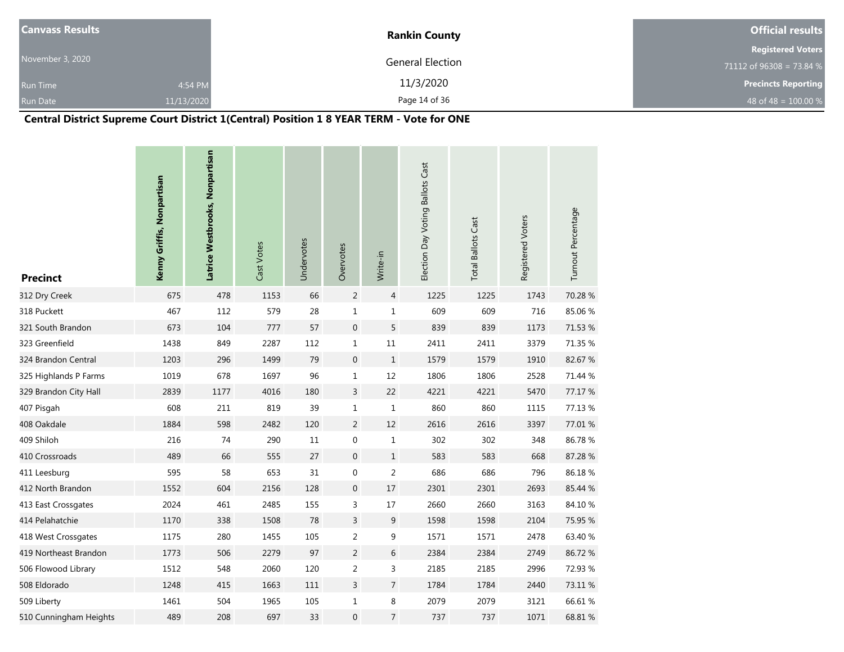| <b>Canvass Results</b> |            | <b>Rankin County</b> | <b>Official results</b>    |  |  |
|------------------------|------------|----------------------|----------------------------|--|--|
|                        |            |                      | <b>Registered Voters</b>   |  |  |
| November 3, 2020       |            | General Election     | 71112 of 96308 = 73.84 %   |  |  |
| <b>Run Time</b>        | 4:54 PM    | 11/3/2020            | <b>Precincts Reporting</b> |  |  |
| <b>Run Date</b>        | 11/13/2020 | Page 14 of 36        | 48 of 48 = $100.00\%$      |  |  |

# **Central District Supreme Court District 1(Central) Position 1 8 YEAR TERM - Vote for ONE**

| <b>Precinct</b>        | Kenny Griffis, Nonpartisan | Latrice Westbrooks, Nonpartisan | Cast Votes | Undervotes | Overvotes        | Write-in       | Election Day Voting Ballots Cast | <b>Total Ballots Cast</b> | Registered Voters | Turnout Percentage |
|------------------------|----------------------------|---------------------------------|------------|------------|------------------|----------------|----------------------------------|---------------------------|-------------------|--------------------|
| 312 Dry Creek          | 675                        | 478                             | 1153       | 66         | $\overline{2}$   | 4              | 1225                             | 1225                      | 1743              | 70.28 %            |
| 318 Puckett            | 467                        | 112                             | 579        | 28         | $1\,$            | $\mathbf{1}$   | 609                              | 609                       | 716               | 85.06%             |
| 321 South Brandon      | 673                        | 104                             | 777        | 57         | $\boldsymbol{0}$ | 5              | 839                              | 839                       | 1173              | 71.53 %            |
| 323 Greenfield         | 1438                       | 849                             | 2287       | 112        | $\mathbf 1$      | $11\,$         | 2411                             | 2411                      | 3379              | 71.35 %            |
| 324 Brandon Central    | 1203                       | 296                             | 1499       | 79         | $\mathbf 0$      | $\mathbf{1}$   | 1579                             | 1579                      | 1910              | 82.67%             |
| 325 Highlands P Farms  | 1019                       | 678                             | 1697       | 96         | $\mathbf{1}$     | 12             | 1806                             | 1806                      | 2528              | 71.44 %            |
| 329 Brandon City Hall  | 2839                       | 1177                            | 4016       | 180        | $\overline{3}$   | 22             | 4221                             | 4221                      | 5470              | 77.17 %            |
| 407 Pisgah             | 608                        | 211                             | 819        | 39         | $\mathbf 1$      | $\mathbf{1}$   | 860                              | 860                       | 1115              | 77.13 %            |
| 408 Oakdale            | 1884                       | 598                             | 2482       | 120        | $\overline{2}$   | 12             | 2616                             | 2616                      | 3397              | 77.01 %            |
| 409 Shiloh             | 216                        | 74                              | 290        | 11         | $\boldsymbol{0}$ | $\mathbf{1}$   | 302                              | 302                       | 348               | 86.78%             |
| 410 Crossroads         | 489                        | 66                              | 555        | 27         | $\mathbf 0$      | $\mathbf{1}$   | 583                              | 583                       | 668               | 87.28%             |
| 411 Leesburg           | 595                        | 58                              | 653        | 31         | $\mathbf 0$      | 2              | 686                              | 686                       | 796               | 86.18%             |
| 412 North Brandon      | 1552                       | 604                             | 2156       | 128        | $\mathbf 0$      | 17             | 2301                             | 2301                      | 2693              | 85.44 %            |
| 413 East Crossgates    | 2024                       | 461                             | 2485       | 155        | 3                | 17             | 2660                             | 2660                      | 3163              | 84.10%             |
| 414 Pelahatchie        | 1170                       | 338                             | 1508       | 78         | $\overline{3}$   | 9              | 1598                             | 1598                      | 2104              | 75.95 %            |
| 418 West Crossgates    | 1175                       | 280                             | 1455       | 105        | $\overline{2}$   | 9              | 1571                             | 1571                      | 2478              | 63.40 %            |
| 419 Northeast Brandon  | 1773                       | 506                             | 2279       | 97         | $\overline{2}$   | 6              | 2384                             | 2384                      | 2749              | 86.72%             |
| 506 Flowood Library    | 1512                       | 548                             | 2060       | 120        | $\overline{2}$   | 3              | 2185                             | 2185                      | 2996              | 72.93 %            |
| 508 Eldorado           | 1248                       | 415                             | 1663       | 111        | $\overline{3}$   | $\overline{7}$ | 1784                             | 1784                      | 2440              | 73.11 %            |
| 509 Liberty            | 1461                       | 504                             | 1965       | 105        | $\mathbf{1}$     | 8              | 2079                             | 2079                      | 3121              | 66.61%             |
| 510 Cunningham Heights | 489                        | 208                             | 697        | 33         | $\mathbf{0}$     | $\overline{7}$ | 737                              | 737                       | 1071              | 68.81 %            |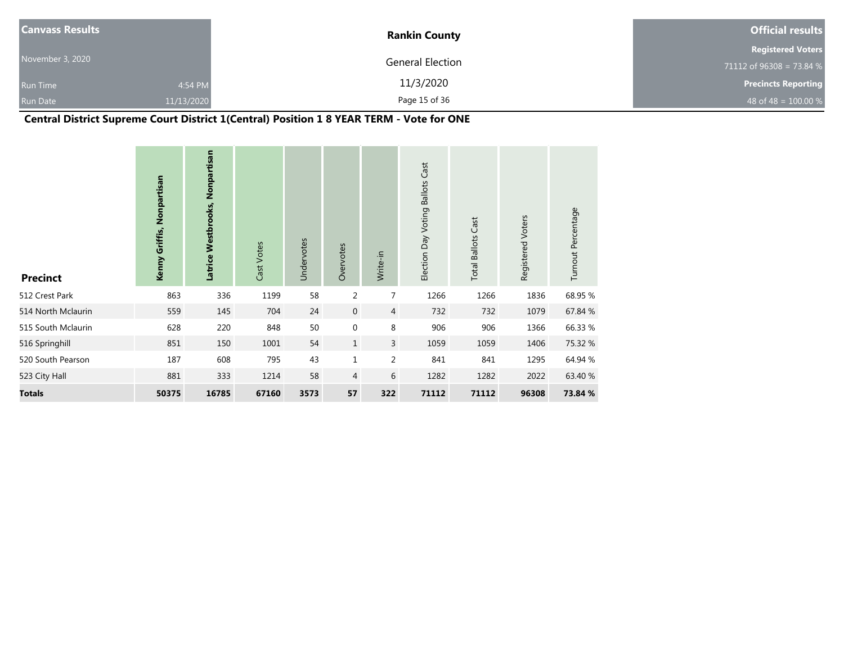| <b>Canvass Results</b> |            | <b>Rankin County</b> | <b>Official results</b>    |  |  |
|------------------------|------------|----------------------|----------------------------|--|--|
|                        |            |                      | <b>Registered Voters</b>   |  |  |
| November 3, 2020       |            | General Election     | 71112 of 96308 = 73.84 %   |  |  |
| <b>Run Time</b>        | 4:54 PM    | 11/3/2020            | <b>Precincts Reporting</b> |  |  |
| <b>Run Date</b>        | 11/13/2020 | Page 15 of 36        | 48 of 48 = $100.00\%$      |  |  |

# **Central District Supreme Court District 1(Central) Position 1 8 YEAR TERM - Vote for ONE**

| <b>Precinct</b>    | Kenny Griffis, Nonpartisan | Latrice Westbrooks, Nonpartisan | Cast Votes | Undervotes | Overvotes      | Write-in       | Election Day Voting Ballots Cast | <b>Total Ballots Cast</b> | Registered Voters | Turnout Percentage |
|--------------------|----------------------------|---------------------------------|------------|------------|----------------|----------------|----------------------------------|---------------------------|-------------------|--------------------|
| 512 Crest Park     | 863                        | 336                             | 1199       | 58         | 2              | $\overline{7}$ | 1266                             | 1266                      | 1836              | 68.95 %            |
| 514 North Mclaurin | 559                        | 145                             | 704        | 24         | $\mathbf 0$    | $\overline{4}$ | 732                              | 732                       | 1079              | 67.84 %            |
| 515 South Mclaurin | 628                        | 220                             | 848        | 50         | $\mathbf 0$    | 8              | 906                              | 906                       | 1366              | 66.33 %            |
| 516 Springhill     | 851                        | 150                             | 1001       | 54         | $\mathbf{1}$   | $\overline{3}$ | 1059                             | 1059                      | 1406              | 75.32 %            |
| 520 South Pearson  | 187                        | 608                             | 795        | 43         | $\mathbf 1$    | 2              | 841                              | 841                       | 1295              | 64.94 %            |
| 523 City Hall      | 881                        | 333                             | 1214       | 58         | $\overline{4}$ | 6              | 1282                             | 1282                      | 2022              | 63.40 %            |
| <b>Totals</b>      | 50375                      | 16785                           | 67160      | 3573       | 57             | 322            | 71112                            | 71112                     | 96308             | 73.84 %            |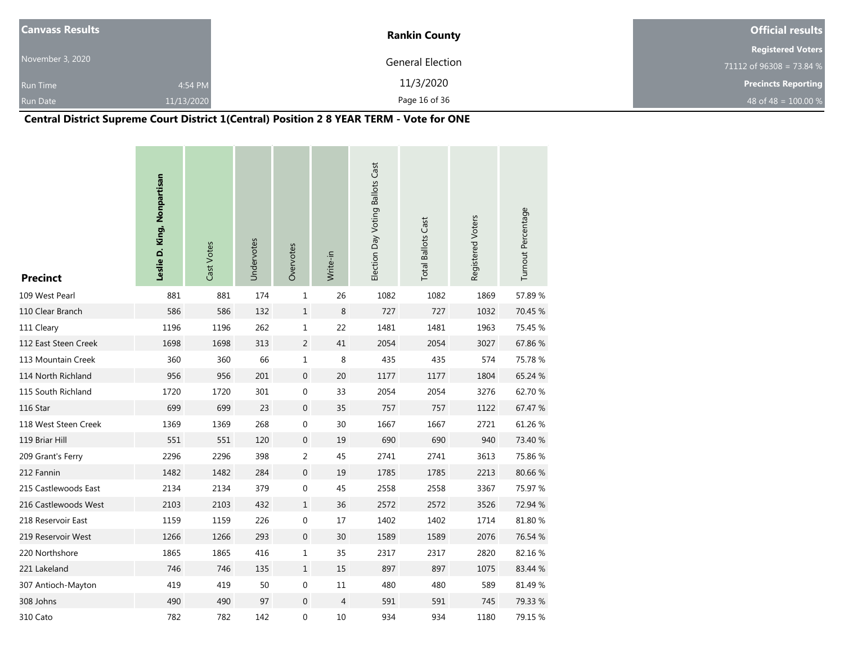| <b>Canvass Results</b> |            | <b>Rankin County</b>    | <b>Official results</b>    |  |  |
|------------------------|------------|-------------------------|----------------------------|--|--|
|                        |            |                         | <b>Registered Voters</b>   |  |  |
| November 3, 2020       |            | <b>General Election</b> | 71112 of 96308 = 73.84 %   |  |  |
| <b>Run Time</b>        | 4:54 PM    | 11/3/2020               | <b>Precincts Reporting</b> |  |  |
| <b>Run Date</b>        | 11/13/2020 | Page 16 of 36           | 48 of 48 = $100.00\%$      |  |  |

# **Central District Supreme Court District 1(Central) Position 2 8 YEAR TERM - Vote for ONE**

| <b>Precinct</b>      | Leslie D. King, Nonpartisan | Cast Votes | Undervotes | Overvotes        | Write-in       | Election Day Voting Ballots Cast | <b>Total Ballots Cast</b> | Registered Voters | Turnout Percentage |
|----------------------|-----------------------------|------------|------------|------------------|----------------|----------------------------------|---------------------------|-------------------|--------------------|
| 109 West Pearl       | 881                         | 881        | 174        | $\mathbf 1$      | 26             | 1082                             | 1082                      | 1869              | 57.89%             |
| 110 Clear Branch     | 586                         | 586        | 132        | $\,1\,$          | 8              | 727                              | 727                       | 1032              | 70.45 %            |
| 111 Cleary           | 1196                        | 1196       | 262        | $\mathbf 1$      | 22             | 1481                             | 1481                      | 1963              | 75.45 %            |
| 112 East Steen Creek | 1698                        | 1698       | 313        | $\overline{2}$   | 41             | 2054                             | 2054                      | 3027              | 67.86%             |
| 113 Mountain Creek   | 360                         | 360        | 66         | $\mathbf 1$      | 8              | 435                              | 435                       | 574               | 75.78 %            |
| 114 North Richland   | 956                         | 956        | 201        | $\boldsymbol{0}$ | 20             | 1177                             | 1177                      | 1804              | 65.24 %            |
| 115 South Richland   | 1720                        | 1720       | 301        | $\boldsymbol{0}$ | 33             | 2054                             | 2054                      | 3276              | 62.70%             |
| 116 Star             | 699                         | 699        | 23         | $\boldsymbol{0}$ | 35             | 757                              | 757                       | 1122              | 67.47 %            |
| 118 West Steen Creek | 1369                        | 1369       | 268        | $\pmb{0}$        | 30             | 1667                             | 1667                      | 2721              | 61.26%             |
| 119 Briar Hill       | 551                         | 551        | 120        | $\boldsymbol{0}$ | 19             | 690                              | 690                       | 940               | 73.40 %            |
| 209 Grant's Ferry    | 2296                        | 2296       | 398        | 2                | 45             | 2741                             | 2741                      | 3613              | 75.86%             |
| 212 Fannin           | 1482                        | 1482       | 284        | $\boldsymbol{0}$ | 19             | 1785                             | 1785                      | 2213              | 80.66%             |
| 215 Castlewoods East | 2134                        | 2134       | 379        | $\boldsymbol{0}$ | 45             | 2558                             | 2558                      | 3367              | 75.97 %            |
| 216 Castlewoods West | 2103                        | 2103       | 432        | $\mathbf 1$      | 36             | 2572                             | 2572                      | 3526              | 72.94 %            |
| 218 Reservoir East   | 1159                        | 1159       | 226        | $\pmb{0}$        | 17             | 1402                             | 1402                      | 1714              | 81.80 %            |
| 219 Reservoir West   | 1266                        | 1266       | 293        | $\boldsymbol{0}$ | 30             | 1589                             | 1589                      | 2076              | 76.54 %            |
| 220 Northshore       | 1865                        | 1865       | 416        | $\mathbf{1}$     | 35             | 2317                             | 2317                      | 2820              | 82.16%             |
| 221 Lakeland         | 746                         | 746        | 135        | $\mathbf 1$      | 15             | 897                              | 897                       | 1075              | 83.44 %            |
| 307 Antioch-Mayton   | 419                         | 419        | 50         | $\pmb{0}$        | 11             | 480                              | 480                       | 589               | 81.49%             |
| 308 Johns            | 490                         | 490        | 97         | $\boldsymbol{0}$ | $\overline{4}$ | 591                              | 591                       | 745               | 79.33 %            |
| 310 Cato             | 782                         | 782        | 142        | $\boldsymbol{0}$ | 10             | 934                              | 934                       | 1180              | 79.15 %            |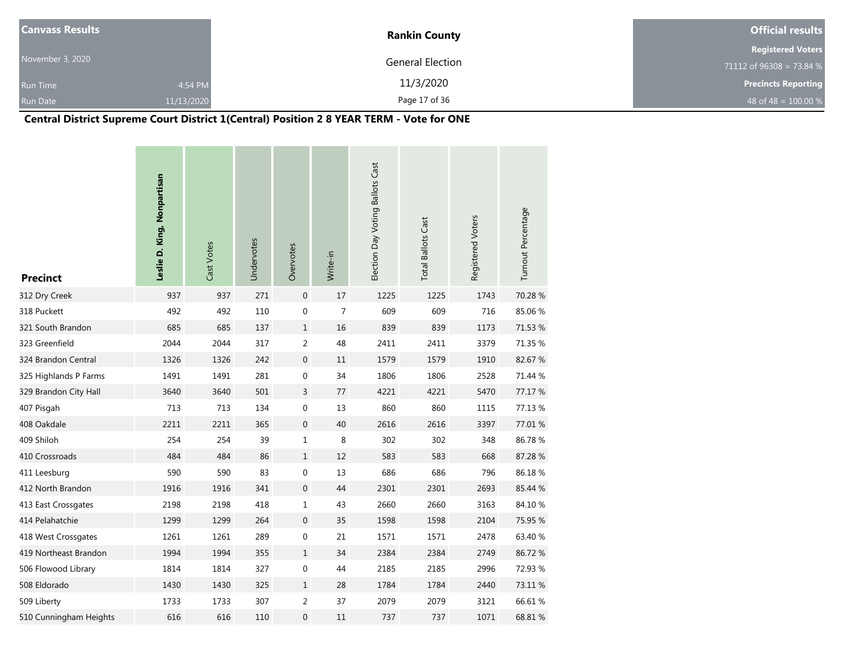| <b>Canvass Results</b> |            | <b>Rankin County</b>    | <b>Official results</b>    |  |  |
|------------------------|------------|-------------------------|----------------------------|--|--|
|                        |            |                         | <b>Registered Voters</b>   |  |  |
| November 3, 2020       |            | <b>General Election</b> | 71112 of 96308 = 73.84 $%$ |  |  |
| <b>Run Time</b>        | 4:54 PM    | 11/3/2020               | <b>Precincts Reporting</b> |  |  |
| <b>Run Date</b>        | 11/13/2020 | Page 17 of 36           | 48 of 48 = $100.00\%$      |  |  |

# **Central District Supreme Court District 1(Central) Position 2 8 YEAR TERM - Vote for ONE**

| <b>Precinct</b>        | Leslie D. King, Nonpartisan | Cast Votes | Undervotes | Overvotes        | Write-in       | Election Day Voting Ballots Cast | <b>Total Ballots Cast</b> | Registered Voters | Turnout Percentage |
|------------------------|-----------------------------|------------|------------|------------------|----------------|----------------------------------|---------------------------|-------------------|--------------------|
| 312 Dry Creek          | 937                         | 937        | 271        | $\mathbf 0$      | 17             | 1225                             | 1225                      | 1743              | 70.28 %            |
| 318 Puckett            | 492                         | 492        | 110        | $\boldsymbol{0}$ | $\overline{7}$ | 609                              | 609                       | 716               | 85.06%             |
| 321 South Brandon      | 685                         | 685        | 137        | $\mathbf{1}$     | 16             | 839                              | 839                       | 1173              | 71.53 %            |
| 323 Greenfield         | 2044                        | 2044       | 317        | $\overline{2}$   | 48             | 2411                             | 2411                      | 3379              | 71.35 %            |
| 324 Brandon Central    | 1326                        | 1326       | 242        | $\boldsymbol{0}$ | 11             | 1579                             | 1579                      | 1910              | 82.67%             |
| 325 Highlands P Farms  | 1491                        | 1491       | 281        | $\boldsymbol{0}$ | 34             | 1806                             | 1806                      | 2528              | 71.44 %            |
| 329 Brandon City Hall  | 3640                        | 3640       | 501        | $\overline{3}$   | 77             | 4221                             | 4221                      | 5470              | 77.17 %            |
| 407 Pisgah             | 713                         | 713        | 134        | $\boldsymbol{0}$ | 13             | 860                              | 860                       | 1115              | 77.13 %            |
| 408 Oakdale            | 2211                        | 2211       | 365        | $\boldsymbol{0}$ | 40             | 2616                             | 2616                      | 3397              | 77.01%             |
| 409 Shiloh             | 254                         | 254        | 39         | $\mathbf 1$      | 8              | 302                              | 302                       | 348               | 86.78%             |
| 410 Crossroads         | 484                         | 484        | 86         | $\mathbf{1}$     | 12             | 583                              | 583                       | 668               | 87.28 %            |
| 411 Leesburg           | 590                         | 590        | 83         | 0                | 13             | 686                              | 686                       | 796               | 86.18%             |
| 412 North Brandon      | 1916                        | 1916       | 341        | $\boldsymbol{0}$ | 44             | 2301                             | 2301                      | 2693              | 85.44 %            |
| 413 East Crossgates    | 2198                        | 2198       | 418        | $\mathbf{1}$     | 43             | 2660                             | 2660                      | 3163              | 84.10%             |
| 414 Pelahatchie        | 1299                        | 1299       | 264        | $\boldsymbol{0}$ | 35             | 1598                             | 1598                      | 2104              | 75.95 %            |
| 418 West Crossgates    | 1261                        | 1261       | 289        | 0                | 21             | 1571                             | 1571                      | 2478              | 63.40 %            |
| 419 Northeast Brandon  | 1994                        | 1994       | 355        | $\mathbf{1}$     | 34             | 2384                             | 2384                      | 2749              | 86.72%             |
| 506 Flowood Library    | 1814                        | 1814       | 327        | 0                | 44             | 2185                             | 2185                      | 2996              | 72.93 %            |
| 508 Eldorado           | 1430                        | 1430       | 325        | $\mathbf{1}$     | 28             | 1784                             | 1784                      | 2440              | 73.11 %            |
| 509 Liberty            | 1733                        | 1733       | 307        | $\overline{2}$   | 37             | 2079                             | 2079                      | 3121              | 66.61%             |
| 510 Cunningham Heights | 616                         | 616        | 110        | 0                | 11             | 737                              | 737                       | 1071              | 68.81 %            |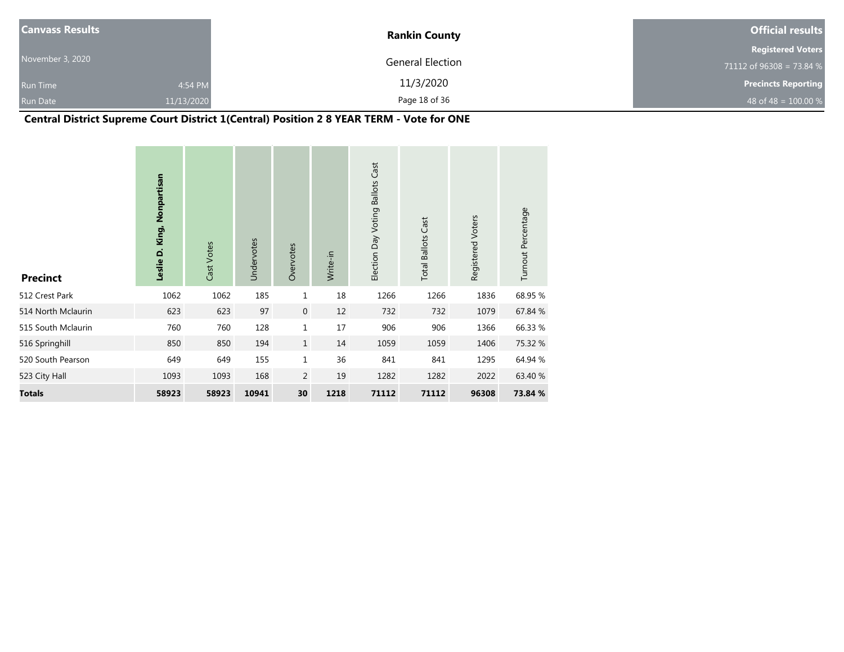| <b>Canvass Results</b> |            | <b>Rankin County</b>    | <b>Official results</b>    |  |  |
|------------------------|------------|-------------------------|----------------------------|--|--|
|                        |            |                         | <b>Registered Voters</b>   |  |  |
| November 3, 2020       |            | <b>General Election</b> | 71112 of 96308 = 73.84 $%$ |  |  |
| <b>Run Time</b>        | 4:54 PM    | 11/3/2020               | <b>Precincts Reporting</b> |  |  |
| <b>Run Date</b>        | 11/13/2020 | Page 18 of 36           | 48 of 48 = $100.00\%$      |  |  |

# **Central District Supreme Court District 1(Central) Position 2 8 YEAR TERM - Vote for ONE**

| <b>Precinct</b>    | Leslie D. King, Nonpartisan | Cast Votes | Undervotes | Overvotes      | Write-in | Election Day Voting Ballots Cast | <b>Total Ballots Cast</b> | Registered Voters | Turnout Percentage |
|--------------------|-----------------------------|------------|------------|----------------|----------|----------------------------------|---------------------------|-------------------|--------------------|
| 512 Crest Park     | 1062                        | 1062       | 185        | $\mathbf 1$    | 18       | 1266                             | 1266                      | 1836              | 68.95 %            |
| 514 North Mclaurin | 623                         | 623        | 97         | $\mathbf 0$    | 12       | 732                              | 732                       | 1079              | 67.84 %            |
| 515 South Mclaurin | 760                         | 760        | 128        | 1              | 17       | 906                              | 906                       | 1366              | 66.33 %            |
| 516 Springhill     | 850                         | 850        | 194        | $\mathbf{1}$   | 14       | 1059                             | 1059                      | 1406              | 75.32 %            |
| 520 South Pearson  | 649                         | 649        | 155        | $\mathbf 1$    | 36       | 841                              | 841                       | 1295              | 64.94 %            |
| 523 City Hall      | 1093                        | 1093       | 168        | $\overline{2}$ | 19       | 1282                             | 1282                      | 2022              | 63.40 %            |
| <b>Totals</b>      | 58923                       | 58923      | 10941      | 30             | 1218     | 71112                            | 71112                     | 96308             | 73.84 %            |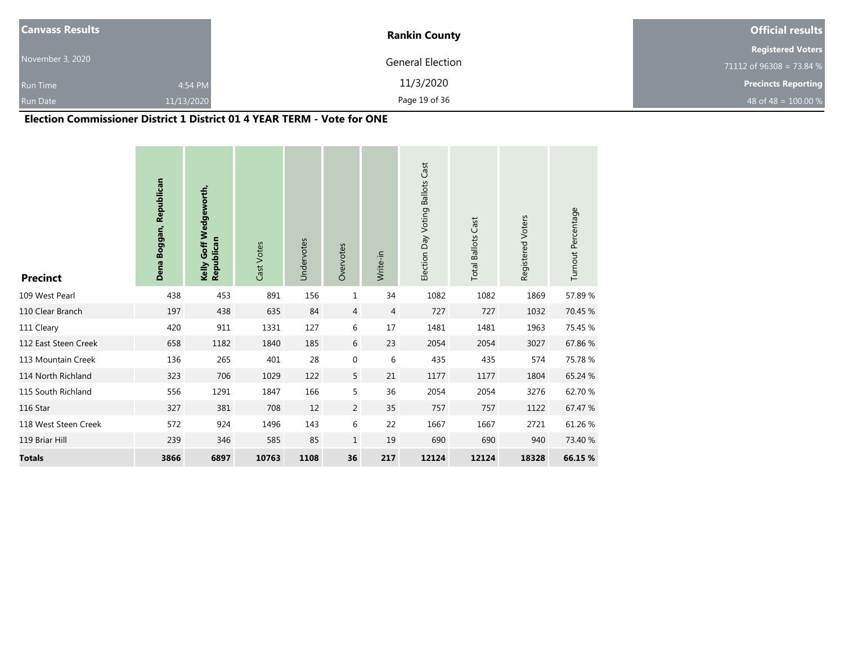| <b>Canvass Results</b> |            | <b>Rankin County</b> | <b>Official results</b>    |
|------------------------|------------|----------------------|----------------------------|
|                        |            |                      | <b>Registered Voters</b>   |
| November 3, 2020       |            | General Election     | 71112 of 96308 = 73.84 $%$ |
| <b>Run Time</b>        | 4:54 PM    | 11/3/2020            | <b>Precincts Reporting</b> |
| <b>Run Date</b>        | 11/13/2020 | Page 19 of 36        | 48 of 48 = $100.00\%$      |

#### **Election Commissioner District 1 District 01 4 YEAR TERM - Vote for ONE**

| <b>Precinct</b>      | Dena Boggan, Republican | Kelly Goff Wedgeworth,<br>Republican | Cast Votes | Undervotes | Overvotes        | Write-in | Election Day Voting Ballots Cast | <b>Total Ballots Cast</b> | Registered Voters | Turnout Percentage |
|----------------------|-------------------------|--------------------------------------|------------|------------|------------------|----------|----------------------------------|---------------------------|-------------------|--------------------|
| 109 West Pearl       | 438                     | 453                                  | 891        | 156        | 1                | 34       | 1082                             | 1082                      | 1869              | 57.89%             |
| 110 Clear Branch     | 197                     | 438                                  | 635        | 84         | 4                | 4        | 727                              | 727                       | 1032              | 70.45 %            |
| 111 Cleary           | 420                     | 911                                  | 1331       | 127        | 6                | 17       | 1481                             | 1481                      | 1963              | 75.45 %            |
| 112 East Steen Creek | 658                     | 1182                                 | 1840       | 185        | 6                | 23       | 2054                             | 2054                      | 3027              | 67.86%             |
| 113 Mountain Creek   | 136                     | 265                                  | 401        | 28         | $\boldsymbol{0}$ | 6        | 435                              | 435                       | 574               | 75.78 %            |
| 114 North Richland   | 323                     | 706                                  | 1029       | 122        | 5                | 21       | 1177                             | 1177                      | 1804              | 65.24 %            |
| 115 South Richland   | 556                     | 1291                                 | 1847       | 166        | 5                | 36       | 2054                             | 2054                      | 3276              | 62.70 %            |
| 116 Star             | 327                     | 381                                  | 708        | 12         | $\overline{2}$   | 35       | 757                              | 757                       | 1122              | 67.47 %            |
| 118 West Steen Creek | 572                     | 924                                  | 1496       | 143        | 6                | 22       | 1667                             | 1667                      | 2721              | 61.26 %            |
| 119 Briar Hill       | 239                     | 346                                  | 585        | 85         | $\mathbf{1}$     | 19       | 690                              | 690                       | 940               | 73.40 %            |
| <b>Totals</b>        | 3866                    | 6897                                 | 10763      | 1108       | 36               | 217      | 12124                            | 12124                     | 18328             | 66.15 %            |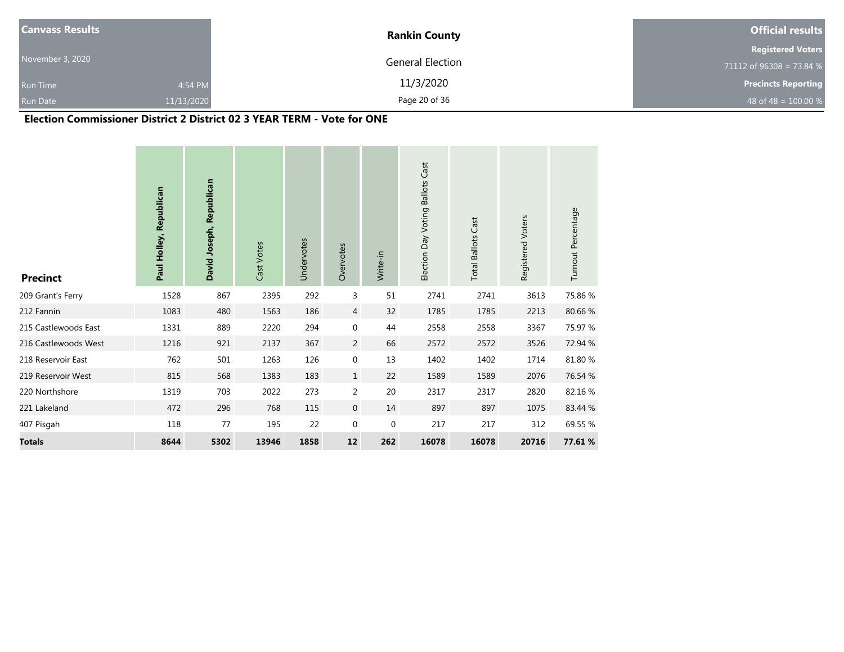| <b>Canvass Results</b> |            | <b>Rankin County</b> | <b>Official results</b>    |
|------------------------|------------|----------------------|----------------------------|
|                        |            |                      | <b>Registered Voters</b>   |
| November 3, 2020       |            | General Election     | 71112 of 96308 = 73.84 $%$ |
| <b>Run Time</b>        | 4:54 PM    | 11/3/2020            | <b>Precincts Reporting</b> |
| <b>Run Date</b>        | 11/13/2020 | Page 20 of 36        | 48 of 48 = $100.00\%$      |

#### **Election Commissioner District 2 District 02 3 YEAR TERM - Vote for ONE**

| <b>Precinct</b>      | Paul Holley, Republican | David Joseph, Republican | Cast Votes | Undervotes | Overvotes        | Write-in | Election Day Voting Ballots Cast | <b>Total Ballots Cast</b> | Registered Voters | Turnout Percentage |
|----------------------|-------------------------|--------------------------|------------|------------|------------------|----------|----------------------------------|---------------------------|-------------------|--------------------|
| 209 Grant's Ferry    | 1528                    | 867                      | 2395       | 292        | 3                | 51       | 2741                             | 2741                      | 3613              | 75.86%             |
| 212 Fannin           | 1083                    | 480                      | 1563       | 186        | 4                | 32       | 1785                             | 1785                      | 2213              | 80.66 %            |
| 215 Castlewoods East | 1331                    | 889                      | 2220       | 294        | $\mathbf{0}$     | 44       | 2558                             | 2558                      | 3367              | 75.97 %            |
| 216 Castlewoods West | 1216                    | 921                      | 2137       | 367        | 2                | 66       | 2572                             | 2572                      | 3526              | 72.94 %            |
| 218 Reservoir East   | 762                     | 501                      | 1263       | 126        | 0                | 13       | 1402                             | 1402                      | 1714              | 81.80 %            |
| 219 Reservoir West   | 815                     | 568                      | 1383       | 183        | $\mathbf{1}$     | 22       | 1589                             | 1589                      | 2076              | 76.54 %            |
| 220 Northshore       | 1319                    | 703                      | 2022       | 273        | $\overline{2}$   | 20       | 2317                             | 2317                      | 2820              | 82.16%             |
| 221 Lakeland         | 472                     | 296                      | 768        | 115        | $\mathbf{0}$     | 14       | 897                              | 897                       | 1075              | 83.44 %            |
| 407 Pisgah           | 118                     | 77                       | 195        | 22         | $\boldsymbol{0}$ | 0        | 217                              | 217                       | 312               | 69.55 %            |
| <b>Totals</b>        | 8644                    | 5302                     | 13946      | 1858       | 12               | 262      | 16078                            | 16078                     | 20716             | 77.61%             |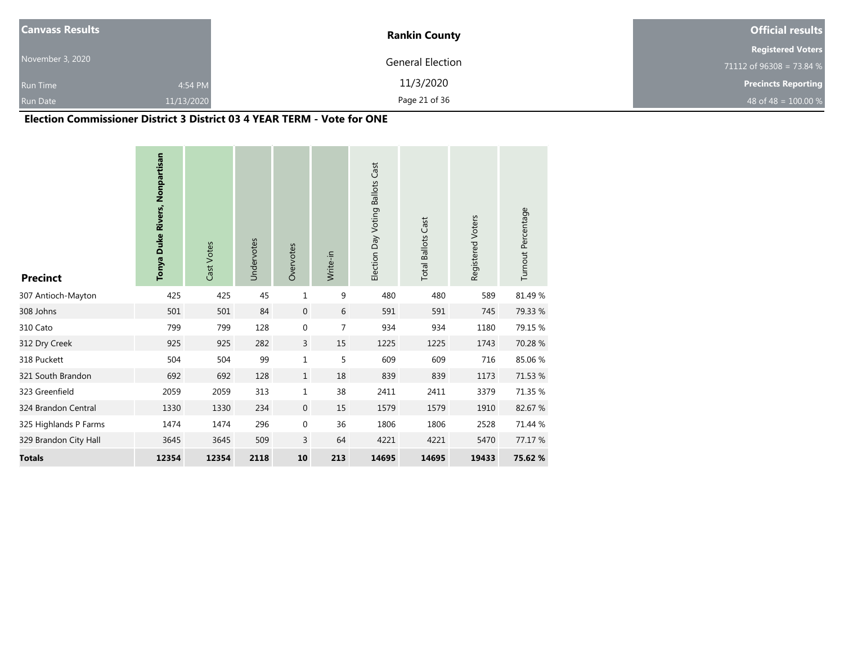| <b>Canvass Results</b> |            | <b>Rankin County</b> | <b>Official results</b>    |  |  |
|------------------------|------------|----------------------|----------------------------|--|--|
|                        |            |                      | <b>Registered Voters</b>   |  |  |
| November 3, 2020       |            | General Election     | 71112 of $96308 = 73.84$ % |  |  |
| <b>Run Time</b>        | 4:54 PM    | 11/3/2020            | <b>Precincts Reporting</b> |  |  |
| <b>Run Date</b>        | 11/13/2020 | Page 21 of 36        | 48 of 48 = $100.00 %$      |  |  |

#### **Election Commissioner District 3 District 03 4 YEAR TERM - Vote for ONE**

| <b>Precinct</b>       | Tonya Duke Rivers, Nonpartisan | Cast Votes | Undervotes | Overvotes        | Write-in       | Election Day Voting Ballots Cast | <b>Total Ballots Cast</b> | Registered Voters | Turnout Percentage |
|-----------------------|--------------------------------|------------|------------|------------------|----------------|----------------------------------|---------------------------|-------------------|--------------------|
| 307 Antioch-Mayton    | 425                            | 425        | 45         | 1                | 9              | 480                              | 480                       | 589               | 81.49 %            |
| 308 Johns             | 501                            | 501        | 84         | $\mathbf{0}$     | 6              | 591                              | 591                       | 745               | 79.33 %            |
| 310 Cato              | 799                            | 799        | 128        | $\mathbf 0$      | $\overline{7}$ | 934                              | 934                       | 1180              | 79.15 %            |
| 312 Dry Creek         | 925                            | 925        | 282        | 3                | 15             | 1225                             | 1225                      | 1743              | 70.28 %            |
| 318 Puckett           | 504                            | 504        | 99         | 1                | 5              | 609                              | 609                       | 716               | 85.06%             |
| 321 South Brandon     | 692                            | 692        | 128        | $\mathbf{1}$     | 18             | 839                              | 839                       | 1173              | 71.53 %            |
| 323 Greenfield        | 2059                           | 2059       | 313        | 1                | 38             | 2411                             | 2411                      | 3379              | 71.35 %            |
| 324 Brandon Central   | 1330                           | 1330       | 234        | $\mathbf{0}$     | 15             | 1579                             | 1579                      | 1910              | 82.67 %            |
| 325 Highlands P Farms | 1474                           | 1474       | 296        | $\boldsymbol{0}$ | 36             | 1806                             | 1806                      | 2528              | 71.44 %            |
| 329 Brandon City Hall | 3645                           | 3645       | 509        | 3                | 64             | 4221                             | 4221                      | 5470              | 77.17 %            |
| <b>Totals</b>         | 12354                          | 12354      | 2118       | 10               | 213            | 14695                            | 14695                     | 19433             | 75.62 %            |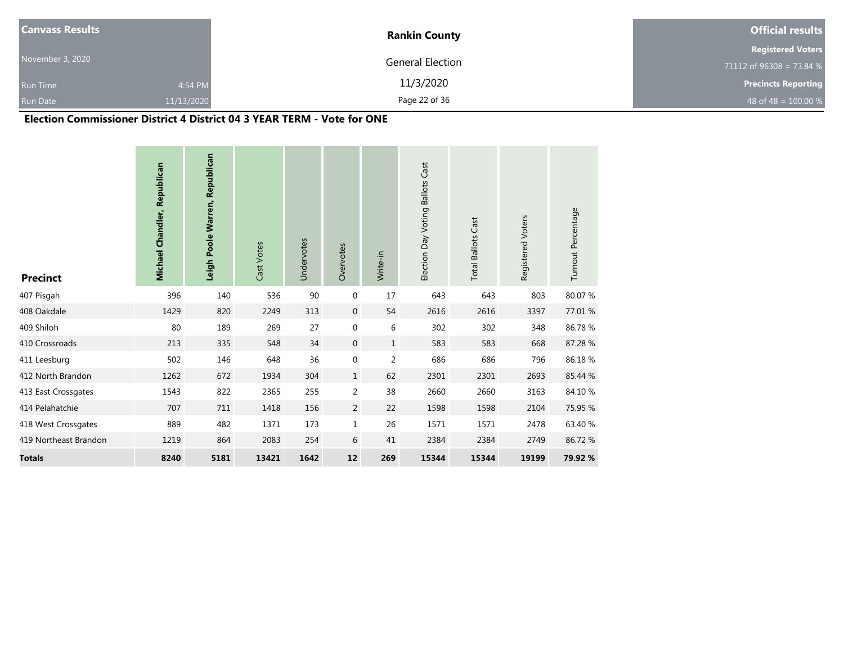| <b>Canvass Results</b> |            | <b>Rankin County</b> | <b>Official results</b>    |  |  |
|------------------------|------------|----------------------|----------------------------|--|--|
|                        |            |                      | <b>Registered Voters</b>   |  |  |
| November 3, 2020       |            | General Election     | 71112 of $96308 = 73.84$ % |  |  |
| <b>Run Time</b>        | 4:54 PM    | 11/3/2020            | <b>Precincts Reporting</b> |  |  |
| <b>Run Date</b>        | 11/13/2020 | Page 22 of 36        | 48 of 48 = $100.00\%$      |  |  |

#### **Election Commissioner District 4 District 04 3 YEAR TERM - Vote for ONE**

| <b>Precinct</b>       | <b>Michael Chandler, Republican</b> | Leigh Poole Warren, Republican | Cast Votes | Undervotes | Overvotes        | Write-in       | Election Day Voting Ballots Cast | <b>Total Ballots Cast</b> | Registered Voters | Turnout Percentage |
|-----------------------|-------------------------------------|--------------------------------|------------|------------|------------------|----------------|----------------------------------|---------------------------|-------------------|--------------------|
| 407 Pisgah            | 396                                 | 140                            | 536        | 90         | $\boldsymbol{0}$ | 17             | 643                              | 643                       | 803               | 80.07 %            |
| 408 Oakdale           | 1429                                | 820                            | 2249       | 313        | $\overline{0}$   | 54             | 2616                             | 2616                      | 3397              | 77.01 %            |
| 409 Shiloh            | 80                                  | 189                            | 269        | 27         | $\boldsymbol{0}$ | 6              | 302                              | 302                       | 348               | 86.78%             |
| 410 Crossroads        | 213                                 | 335                            | 548        | 34         | $\boldsymbol{0}$ | $\mathbf{1}$   | 583                              | 583                       | 668               | 87.28%             |
| 411 Leesburg          | 502                                 | 146                            | 648        | 36         | $\boldsymbol{0}$ | $\overline{2}$ | 686                              | 686                       | 796               | 86.18%             |
| 412 North Brandon     | 1262                                | 672                            | 1934       | 304        | $\mathbf{1}$     | 62             | 2301                             | 2301                      | 2693              | 85.44 %            |
| 413 East Crossgates   | 1543                                | 822                            | 2365       | 255        | $\overline{2}$   | 38             | 2660                             | 2660                      | 3163              | 84.10%             |
| 414 Pelahatchie       | 707                                 | 711                            | 1418       | 156        | $\overline{2}$   | 22             | 1598                             | 1598                      | 2104              | 75.95 %            |
| 418 West Crossgates   | 889                                 | 482                            | 1371       | 173        | $\mathbf 1$      | 26             | 1571                             | 1571                      | 2478              | 63.40 %            |
| 419 Northeast Brandon | 1219                                | 864                            | 2083       | 254        | 6                | 41             | 2384                             | 2384                      | 2749              | 86.72%             |
| <b>Totals</b>         | 8240                                | 5181                           | 13421      | 1642       | 12               | 269            | 15344                            | 15344                     | 19199             | 79.92 %            |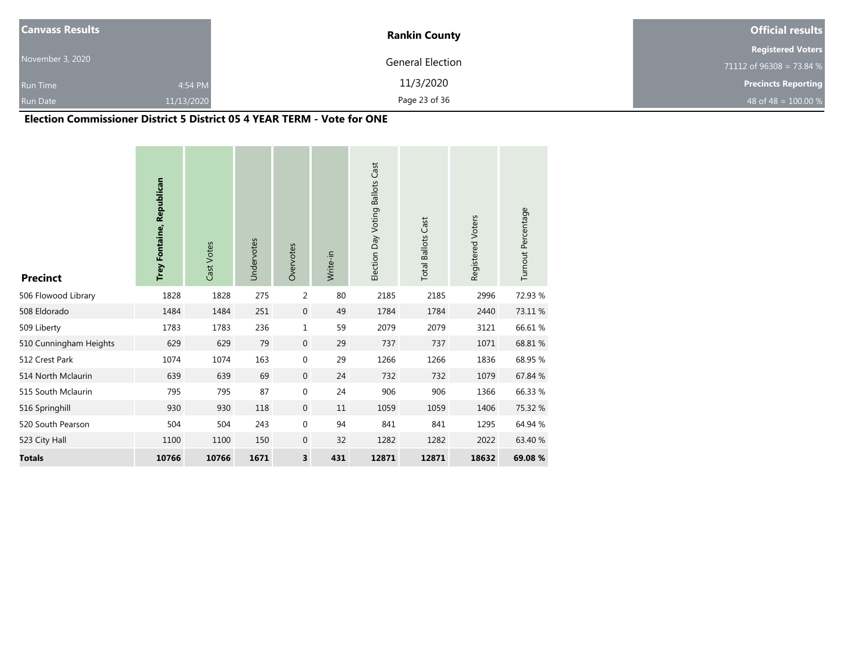| <b>Canvass Results</b> |            | <b>Rankin County</b> | <b>Official results</b>    |  |  |
|------------------------|------------|----------------------|----------------------------|--|--|
|                        |            |                      | <b>Registered Voters</b>   |  |  |
| November 3, 2020       |            | General Election     | 71112 of $96308 = 73.84$ % |  |  |
| <b>Run Time</b>        | 4:54 PM    | 11/3/2020            | <b>Precincts Reporting</b> |  |  |
| <b>Run Date</b>        | 11/13/2020 | Page 23 of 36        | 48 of 48 = $100.00 %$      |  |  |

#### **Election Commissioner District 5 District 05 4 YEAR TERM - Vote for ONE**

| <b>Precinct</b>        | Trey Fontaine, Republican | Cast Votes | Undervotes | Overvotes               | Write-in | Election Day Voting Ballots Cast | <b>Total Ballots Cast</b> | Registered Voters | Turnout Percentage |
|------------------------|---------------------------|------------|------------|-------------------------|----------|----------------------------------|---------------------------|-------------------|--------------------|
| 506 Flowood Library    | 1828                      | 1828       | 275        | 2                       | 80       | 2185                             | 2185                      | 2996              | 72.93 %            |
| 508 Eldorado           | 1484                      | 1484       | 251        | $\mathbf 0$             | 49       | 1784                             | 1784                      | 2440              | 73.11 %            |
| 509 Liberty            | 1783                      | 1783       | 236        | 1                       | 59       | 2079                             | 2079                      | 3121              | 66.61%             |
| 510 Cunningham Heights | 629                       | 629        | 79         | $\mathbf 0$             | 29       | 737                              | 737                       | 1071              | 68.81 %            |
| 512 Crest Park         | 1074                      | 1074       | 163        | $\boldsymbol{0}$        | 29       | 1266                             | 1266                      | 1836              | 68.95 %            |
| 514 North Mclaurin     | 639                       | 639        | 69         | $\boldsymbol{0}$        | 24       | 732                              | 732                       | 1079              | 67.84 %            |
| 515 South Mclaurin     | 795                       | 795        | 87         | 0                       | 24       | 906                              | 906                       | 1366              | 66.33 %            |
| 516 Springhill         | 930                       | 930        | 118        | $\mathbf 0$             | 11       | 1059                             | 1059                      | 1406              | 75.32 %            |
| 520 South Pearson      | 504                       | 504        | 243        | $\boldsymbol{0}$        | 94       | 841                              | 841                       | 1295              | 64.94 %            |
| 523 City Hall          | 1100                      | 1100       | 150        | $\pmb{0}$               | 32       | 1282                             | 1282                      | 2022              | 63.40 %            |
| <b>Totals</b>          | 10766                     | 10766      | 1671       | $\overline{\mathbf{3}}$ | 431      | 12871                            | 12871                     | 18632             | 69.08 %            |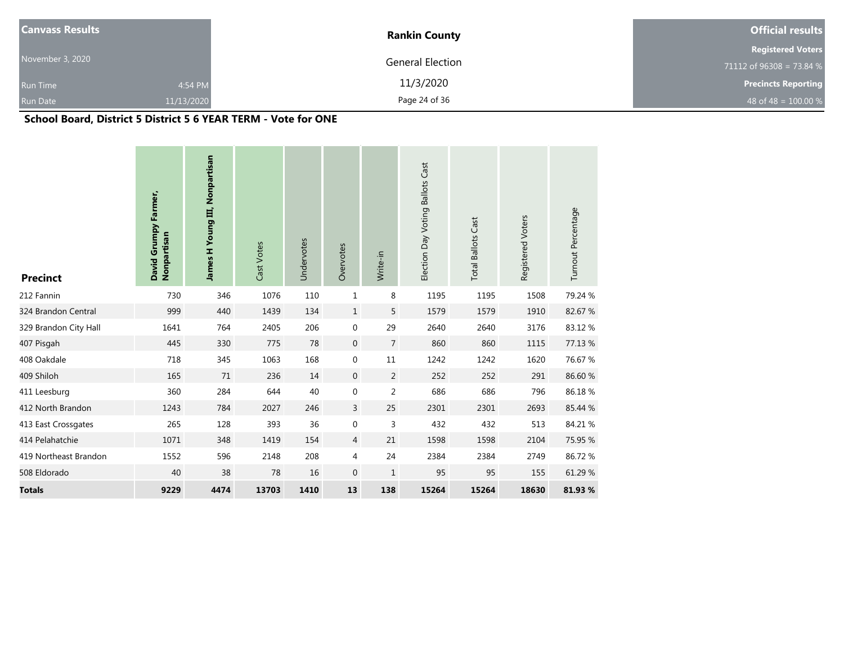| <b>Canvass Results</b> |            | <b>Rankin County</b> | <b>Official results</b>    |
|------------------------|------------|----------------------|----------------------------|
|                        |            |                      | <b>Registered Voters</b>   |
| November 3, 2020       |            | General Election     | 71112 of 96308 = 73.84 %   |
| <b>Run Time</b>        | 4:54 PM    | 11/3/2020            | <b>Precincts Reporting</b> |
| <b>Run Date</b>        | 11/13/2020 | Page 24 of 36        | 48 of 48 = $100.00 %$      |

## **School Board, District 5 District 5 6 YEAR TERM - Vote for ONE**

| <b>Precinct</b>       | David Grumpy Farmer,<br>Nonpartisan | James H Young III, Nonpartisan | Cast Votes | Undervotes | Overvotes        | Write-in       | Election Day Voting Ballots Cast | <b>Total Ballots Cast</b> | Registered Voters | Turnout Percentage |
|-----------------------|-------------------------------------|--------------------------------|------------|------------|------------------|----------------|----------------------------------|---------------------------|-------------------|--------------------|
| 212 Fannin            | 730                                 | 346                            | 1076       | 110        | $\mathbf{1}$     | 8              | 1195                             | 1195                      | 1508              | 79.24 %            |
| 324 Brandon Central   | 999                                 | 440                            | 1439       | 134        | $\mathbf{1}$     | 5              | 1579                             | 1579                      | 1910              | 82.67%             |
| 329 Brandon City Hall | 1641                                | 764                            | 2405       | 206        | $\boldsymbol{0}$ | 29             | 2640                             | 2640                      | 3176              | 83.12%             |
| 407 Pisgah            | 445                                 | 330                            | 775        | 78         | $\boldsymbol{0}$ | $\overline{7}$ | 860                              | 860                       | 1115              | 77.13 %            |
| 408 Oakdale           | 718                                 | 345                            | 1063       | 168        | $\mathbf 0$      | $11\,$         | 1242                             | 1242                      | 1620              | 76.67%             |
| 409 Shiloh            | 165                                 | 71                             | 236        | 14         | $\boldsymbol{0}$ | $\overline{2}$ | 252                              | 252                       | 291               | 86.60%             |
| 411 Leesburg          | 360                                 | 284                            | 644        | 40         | $\boldsymbol{0}$ | $\overline{2}$ | 686                              | 686                       | 796               | 86.18%             |
| 412 North Brandon     | 1243                                | 784                            | 2027       | 246        | 3                | 25             | 2301                             | 2301                      | 2693              | 85.44 %            |
| 413 East Crossgates   | 265                                 | 128                            | 393        | 36         | $\boldsymbol{0}$ | $\mathsf 3$    | 432                              | 432                       | 513               | 84.21 %            |
| 414 Pelahatchie       | 1071                                | 348                            | 1419       | 154        | $\overline{4}$   | 21             | 1598                             | 1598                      | 2104              | 75.95 %            |
| 419 Northeast Brandon | 1552                                | 596                            | 2148       | 208        | 4                | 24             | 2384                             | 2384                      | 2749              | 86.72%             |
| 508 Eldorado          | 40                                  | 38                             | 78         | 16         | $\mathbf{0}$     | $\mathbf{1}$   | 95                               | 95                        | 155               | 61.29 %            |
| <b>Totals</b>         | 9229                                | 4474                           | 13703      | 1410       | 13               | 138            | 15264                            | 15264                     | 18630             | 81.93%             |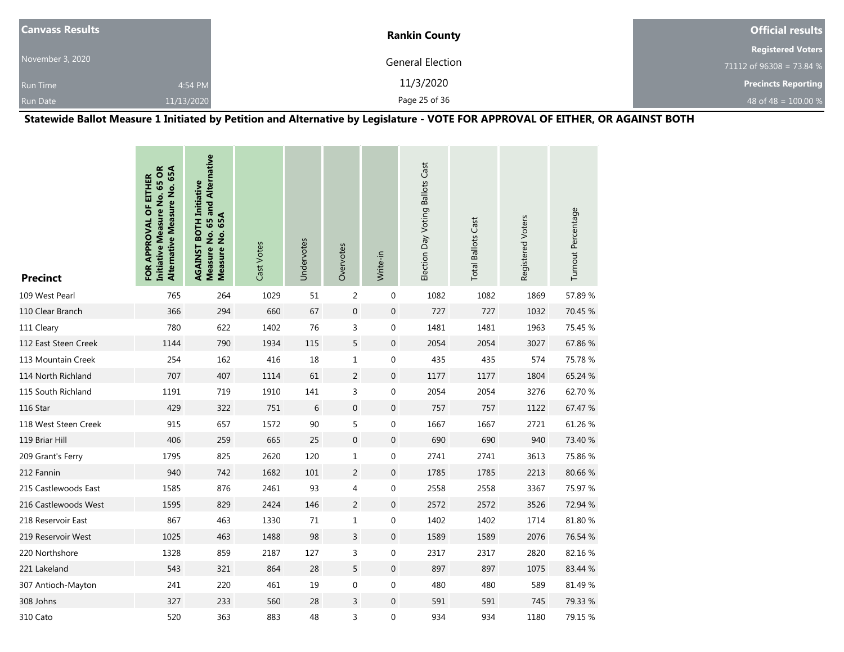| <b>Canvass Results</b> |            | <b>Rankin County</b> | <b>Official results</b>    |  |  |
|------------------------|------------|----------------------|----------------------------|--|--|
|                        |            |                      | <b>Registered Voters</b>   |  |  |
| November 3, 2020       |            | General Election     | 71112 of 96308 = 73.84 %   |  |  |
| <b>Run Time</b>        | 4:54 PM    | 11/3/2020            | <b>Precincts Reporting</b> |  |  |
| <b>Run Date</b>        | 11/13/2020 | Page 25 of 36        | 48 of 48 = $100.00 %$      |  |  |

**Statewide Ballot Measure 1 Initiated by Petition and Alternative by Legislature - VOTE FOR APPROVAL OF EITHER, OR AGAINST BOTH**

| <b>Precinct</b>      | Initiative Measure No. 65 OR<br>Alternative Measure No. 65A<br>FOR APPROVAL OF EITHER | Measure No. 65 and Alternative<br><b>AGAINST BOTH Initiative</b><br>65A<br>Measure No. | Cast Votes | Undervotes | Overvotes        | Write-in         | Election Day Voting Ballots Cast | <b>Total Ballots Cast</b> | Registered Voters | Turnout Percentage |
|----------------------|---------------------------------------------------------------------------------------|----------------------------------------------------------------------------------------|------------|------------|------------------|------------------|----------------------------------|---------------------------|-------------------|--------------------|
| 109 West Pearl       | 765                                                                                   | 264                                                                                    | 1029       | 51         | $\overline{2}$   | $\mathbf{0}$     | 1082                             | 1082                      | 1869              | 57.89%             |
| 110 Clear Branch     | 366                                                                                   | 294                                                                                    | 660        | 67         | $\overline{0}$   | $\mathbf 0$      | 727                              | 727                       | 1032              | 70.45 %            |
| 111 Cleary           | 780                                                                                   | 622                                                                                    | 1402       | 76         | 3                | 0                | 1481                             | 1481                      | 1963              | 75.45 %            |
| 112 East Steen Creek | 1144                                                                                  | 790                                                                                    | 1934       | 115        | 5                | $\mathbf 0$      | 2054                             | 2054                      | 3027              | 67.86%             |
| 113 Mountain Creek   | 254                                                                                   | 162                                                                                    | 416        | 18         | $\mathbf{1}$     | 0                | 435                              | 435                       | 574               | 75.78 %            |
| 114 North Richland   | 707                                                                                   | 407                                                                                    | 1114       | 61         | $\overline{2}$   | $\mathbf 0$      | 1177                             | 1177                      | 1804              | 65.24 %            |
| 115 South Richland   | 1191                                                                                  | 719                                                                                    | 1910       | 141        | 3                | 0                | 2054                             | 2054                      | 3276              | 62.70%             |
| 116 Star             | 429                                                                                   | 322                                                                                    | 751        | 6          | $\overline{0}$   | $\mathbf 0$      | 757                              | 757                       | 1122              | 67.47 %            |
| 118 West Steen Creek | 915                                                                                   | 657                                                                                    | 1572       | 90         | 5                | 0                | 1667                             | 1667                      | 2721              | 61.26 %            |
| 119 Briar Hill       | 406                                                                                   | 259                                                                                    | 665        | 25         | $\boldsymbol{0}$ | $\boldsymbol{0}$ | 690                              | 690                       | 940               | 73.40 %            |
| 209 Grant's Ferry    | 1795                                                                                  | 825                                                                                    | 2620       | 120        | $1\,$            | 0                | 2741                             | 2741                      | 3613              | 75.86%             |
| 212 Fannin           | 940                                                                                   | 742                                                                                    | 1682       | 101        | $\overline{2}$   | 0                | 1785                             | 1785                      | 2213              | 80.66%             |
| 215 Castlewoods East | 1585                                                                                  | 876                                                                                    | 2461       | 93         | 4                | $\pmb{0}$        | 2558                             | 2558                      | 3367              | 75.97 %            |
| 216 Castlewoods West | 1595                                                                                  | 829                                                                                    | 2424       | 146        | $\overline{2}$   | $\mathbf 0$      | 2572                             | 2572                      | 3526              | 72.94 %            |
| 218 Reservoir East   | 867                                                                                   | 463                                                                                    | 1330       | 71         | $\mathbf{1}$     | 0                | 1402                             | 1402                      | 1714              | 81.80%             |
| 219 Reservoir West   | 1025                                                                                  | 463                                                                                    | 1488       | 98         | 3                | $\mathbf 0$      | 1589                             | 1589                      | 2076              | 76.54 %            |
| 220 Northshore       | 1328                                                                                  | 859                                                                                    | 2187       | 127        | 3                | 0                | 2317                             | 2317                      | 2820              | 82.16%             |
| 221 Lakeland         | 543                                                                                   | 321                                                                                    | 864        | 28         | 5                | $\mathbf 0$      | 897                              | 897                       | 1075              | 83.44 %            |
| 307 Antioch-Mayton   | 241                                                                                   | 220                                                                                    | 461        | 19         | $\boldsymbol{0}$ | 0                | 480                              | 480                       | 589               | 81.49%             |
| 308 Johns            | 327                                                                                   | 233                                                                                    | 560        | 28         | $\overline{3}$   | $\mathbf{0}$     | 591                              | 591                       | 745               | 79.33 %            |
| 310 Cato             | 520                                                                                   | 363                                                                                    | 883        | 48         | 3                | 0                | 934                              | 934                       | 1180              | 79.15 %            |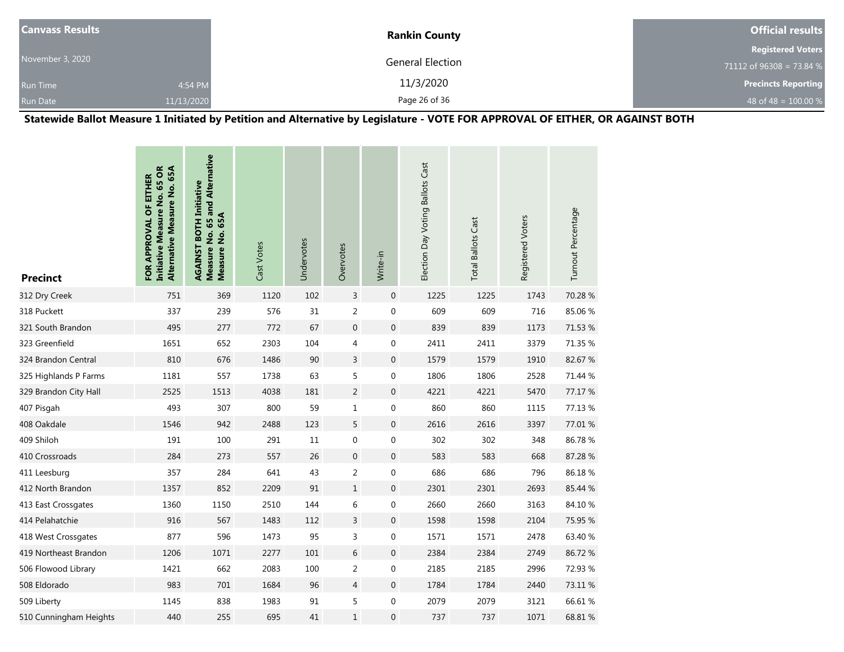| <b>Canvass Results</b> |            | <b>Rankin County</b> | <b>Official results</b>    |  |  |
|------------------------|------------|----------------------|----------------------------|--|--|
|                        |            |                      | <b>Registered Voters</b>   |  |  |
| November 3, 2020       |            | General Election     | 71112 of 96308 = 73.84 %   |  |  |
| <b>Run Time</b>        | 4:54 PM    | 11/3/2020            | <b>Precincts Reporting</b> |  |  |
| <b>Run Date</b>        | 11/13/2020 | Page 26 of 36        | 48 of 48 = $100.00 %$      |  |  |

**Statewide Ballot Measure 1 Initiated by Petition and Alternative by Legislature - VOTE FOR APPROVAL OF EITHER, OR AGAINST BOTH**

| <b>Precinct</b>        | <b>Initiative Measure No. 65 OR</b><br>Alternative Measure No. 65A<br>FOR APPROVAL OF EITHER | Measure No. 65 and Alternative<br><b>AGAINST BOTH Initiative</b><br>Measure No. 65A | Cast Votes | Undervotes | Overvotes      | Write-in         | Election Day Voting Ballots Cast | <b>Total Ballots Cast</b> | Registered Voters | Turnout Percentage |
|------------------------|----------------------------------------------------------------------------------------------|-------------------------------------------------------------------------------------|------------|------------|----------------|------------------|----------------------------------|---------------------------|-------------------|--------------------|
| 312 Dry Creek          | 751                                                                                          | 369                                                                                 | 1120       | 102        | 3              | $\mathbf 0$      | 1225                             | 1225                      | 1743              | 70.28 %            |
| 318 Puckett            | 337                                                                                          | 239                                                                                 | 576        | 31         | $\overline{2}$ | $\boldsymbol{0}$ | 609                              | 609                       | 716               | 85.06%             |
| 321 South Brandon      | 495                                                                                          | 277                                                                                 | 772        | 67         | $\mathbf 0$    | $\boldsymbol{0}$ | 839                              | 839                       | 1173              | 71.53 %            |
| 323 Greenfield         | 1651                                                                                         | 652                                                                                 | 2303       | 104        | 4              | 0                | 2411                             | 2411                      | 3379              | 71.35 %            |
| 324 Brandon Central    | 810                                                                                          | 676                                                                                 | 1486       | 90         | 3              | $\overline{0}$   | 1579                             | 1579                      | 1910              | 82.67 %            |
| 325 Highlands P Farms  | 1181                                                                                         | 557                                                                                 | 1738       | 63         | 5              | $\boldsymbol{0}$ | 1806                             | 1806                      | 2528              | 71.44 %            |
| 329 Brandon City Hall  | 2525                                                                                         | 1513                                                                                | 4038       | 181        | $\overline{c}$ | $\mathbf 0$      | 4221                             | 4221                      | 5470              | 77.17 %            |
| 407 Pisgah             | 493                                                                                          | 307                                                                                 | 800        | 59         | $\mathbf{1}$   | 0                | 860                              | 860                       | 1115              | 77.13 %            |
| 408 Oakdale            | 1546                                                                                         | 942                                                                                 | 2488       | 123        | 5              | $\overline{0}$   | 2616                             | 2616                      | 3397              | 77.01 %            |
| 409 Shiloh             | 191                                                                                          | 100                                                                                 | 291        | 11         | 0              | $\pmb{0}$        | 302                              | 302                       | 348               | 86.78%             |
| 410 Crossroads         | 284                                                                                          | 273                                                                                 | 557        | 26         | $\mathbf 0$    | $\boldsymbol{0}$ | 583                              | 583                       | 668               | 87.28%             |
| 411 Leesburg           | 357                                                                                          | 284                                                                                 | 641        | 43         | 2              | 0                | 686                              | 686                       | 796               | 86.18%             |
| 412 North Brandon      | 1357                                                                                         | 852                                                                                 | 2209       | 91         | $\mathbf{1}$   | $\boldsymbol{0}$ | 2301                             | 2301                      | 2693              | 85.44 %            |
| 413 East Crossgates    | 1360                                                                                         | 1150                                                                                | 2510       | 144        | 6              | 0                | 2660                             | 2660                      | 3163              | 84.10%             |
| 414 Pelahatchie        | 916                                                                                          | 567                                                                                 | 1483       | 112        | $\overline{3}$ | $\overline{0}$   | 1598                             | 1598                      | 2104              | 75.95 %            |
| 418 West Crossgates    | 877                                                                                          | 596                                                                                 | 1473       | 95         | 3              | 0                | 1571                             | 1571                      | 2478              | 63.40 %            |
| 419 Northeast Brandon  | 1206                                                                                         | 1071                                                                                | 2277       | $101\,$    | 6              | $\boldsymbol{0}$ | 2384                             | 2384                      | 2749              | 86.72%             |
| 506 Flowood Library    | 1421                                                                                         | 662                                                                                 | 2083       | 100        | $\overline{2}$ | 0                | 2185                             | 2185                      | 2996              | 72.93 %            |
| 508 Eldorado           | 983                                                                                          | 701                                                                                 | 1684       | 96         | 4              | $\boldsymbol{0}$ | 1784                             | 1784                      | 2440              | 73.11 %            |
| 509 Liberty            | 1145                                                                                         | 838                                                                                 | 1983       | 91         | 5              | $\mathbf 0$      | 2079                             | 2079                      | 3121              | 66.61%             |
| 510 Cunningham Heights | 440                                                                                          | 255                                                                                 | 695        | 41         | $\mathbf{1}$   | $\mathbf 0$      | 737                              | 737                       | 1071              | 68.81 %            |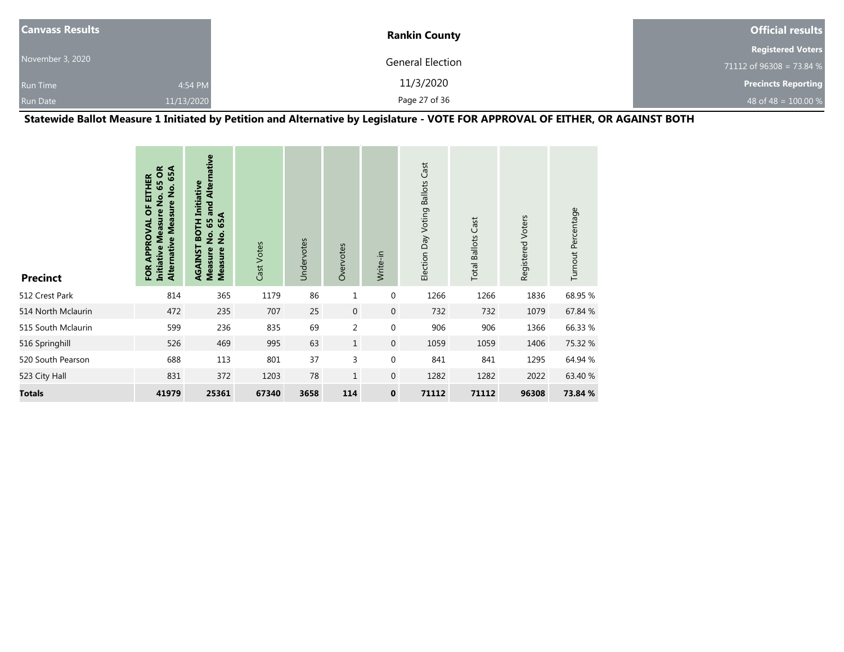| <b>Canvass Results</b> |            | <b>Rankin County</b>    | <b>Official results</b>    |
|------------------------|------------|-------------------------|----------------------------|
|                        |            |                         | <b>Registered Voters</b>   |
| November 3, 2020       |            | <b>General Election</b> | 71112 of 96308 = 73.84 %   |
| <b>Run Time</b>        | 4:54 PM    | 11/3/2020               | <b>Precincts Reporting</b> |
| <b>Run Date</b>        | 11/13/2020 | Page 27 of 36           | 48 of 48 = $100.00\%$      |

**Statewide Ballot Measure 1 Initiated by Petition and Alternative by Legislature - VOTE FOR APPROVAL OF EITHER, OR AGAINST BOTH**

| <b>Precinct</b>    | 65 OR<br>65A<br>EITHER<br>Alternative Measure No.<br><u>ş</u><br>ō<br><b>Measure</b><br>APPROVAL<br><b>Initiative</b><br>FOR | and Alternative<br>Initiative<br>65A<br>퐅<br>65<br><b>SO</b><br>$\frac{1}{2}$<br>$\dot{2}$<br>RGAINST<br><b>Measure</b><br><b>Measure</b> | Cast Votes | Undervotes | Overvotes      | Write-in         | Election Day Voting Ballots Cast | <b>Total Ballots Cast</b> | Registered Voters | Turnout Percentage |
|--------------------|------------------------------------------------------------------------------------------------------------------------------|-------------------------------------------------------------------------------------------------------------------------------------------|------------|------------|----------------|------------------|----------------------------------|---------------------------|-------------------|--------------------|
| 512 Crest Park     | 814                                                                                                                          | 365                                                                                                                                       | 1179       | 86         | 1              | $\pmb{0}$        | 1266                             | 1266                      | 1836              | 68.95 %            |
| 514 North Mclaurin | 472                                                                                                                          | 235                                                                                                                                       | 707        | 25         | $\mathbf 0$    | $\mathbf 0$      | 732                              | 732                       | 1079              | 67.84 %            |
| 515 South Mclaurin | 599                                                                                                                          | 236                                                                                                                                       | 835        | 69         | $\overline{2}$ | $\boldsymbol{0}$ | 906                              | 906                       | 1366              | 66.33 %            |
| 516 Springhill     | 526                                                                                                                          | 469                                                                                                                                       | 995        | 63         | $\mathbf{1}$   | $\overline{0}$   | 1059                             | 1059                      | 1406              | 75.32 %            |
| 520 South Pearson  | 688                                                                                                                          | 113                                                                                                                                       | 801        | 37         | 3              | $\boldsymbol{0}$ | 841                              | 841                       | 1295              | 64.94 %            |
| 523 City Hall      | 831                                                                                                                          | 372                                                                                                                                       | 1203       | 78         | $\mathbf{1}$   | $\mathbf 0$      | 1282                             | 1282                      | 2022              | 63.40 %            |
| Totals             | 41979                                                                                                                        | 25361                                                                                                                                     | 67340      | 3658       | 114            | $\mathbf 0$      | 71112                            | 71112                     | 96308             | 73.84 %            |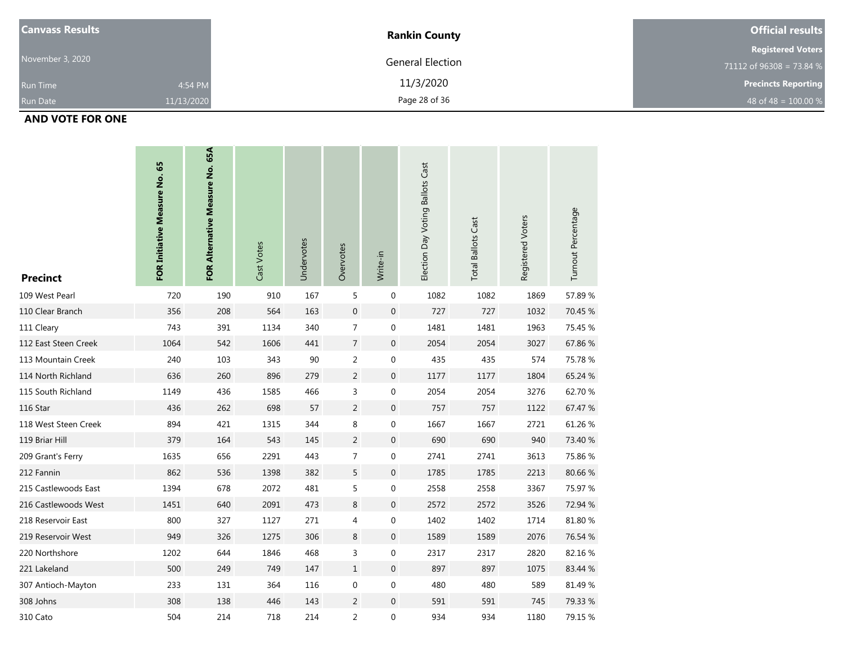| <b>Canvass Results</b> |            | <b>Rankin County</b>    | <b>Official results</b>    |
|------------------------|------------|-------------------------|----------------------------|
|                        |            |                         | <b>Registered Voters</b>   |
| November 3, 2020       |            | <b>General Election</b> | 71112 of 96308 = 73.84 $%$ |
| <b>Run Time</b>        | 4:54 PM    | 11/3/2020               | <b>Precincts Reporting</b> |
| <b>Run Date</b>        | 11/13/2020 | Page 28 of 36           | 48 of 48 = $100.00\%$      |

#### **AND VOTE FOR ONE**

| <b>Precinct</b>      | FOR Initiative Measure No. 65 | FOR Alternative Measure No. 65A | Cast Votes | Undervotes | Overvotes        | Write-in         | Election Day Voting Ballots Cast | <b>Total Ballots Cast</b> | Registered Voters | Turnout Percentage |
|----------------------|-------------------------------|---------------------------------|------------|------------|------------------|------------------|----------------------------------|---------------------------|-------------------|--------------------|
| 109 West Pearl       | 720                           | 190                             | 910        | 167        | 5                | $\pmb{0}$        | 1082                             | 1082                      | 1869              | 57.89%             |
| 110 Clear Branch     | 356                           | 208                             | 564        | 163        | $\boldsymbol{0}$ | 0                | 727                              | 727                       | 1032              | 70.45 %            |
| 111 Cleary           | 743                           | 391                             | 1134       | 340        | $\overline{7}$   | 0                | 1481                             | 1481                      | 1963              | 75.45 %            |
| 112 East Steen Creek | 1064                          | 542                             | 1606       | 441        | $\overline{7}$   | $\mathbf 0$      | 2054                             | 2054                      | 3027              | 67.86%             |
| 113 Mountain Creek   | 240                           | 103                             | 343        | 90         | $\overline{2}$   | 0                | 435                              | 435                       | 574               | 75.78 %            |
| 114 North Richland   | 636                           | 260                             | 896        | 279        | $\overline{2}$   | 0                | 1177                             | 1177                      | 1804              | 65.24 %            |
| 115 South Richland   | 1149                          | 436                             | 1585       | 466        | 3                | 0                | 2054                             | 2054                      | 3276              | 62.70 %            |
| 116 Star             | 436                           | 262                             | 698        | 57         | 2                | $\mathbf 0$      | 757                              | 757                       | 1122              | 67.47 %            |
| 118 West Steen Creek | 894                           | 421                             | 1315       | 344        | 8                | 0                | 1667                             | 1667                      | 2721              | 61.26%             |
| 119 Briar Hill       | 379                           | 164                             | 543        | 145        | $\overline{2}$   | 0                | 690                              | 690                       | 940               | 73.40 %            |
| 209 Grant's Ferry    | 1635                          | 656                             | 2291       | 443        | $\overline{7}$   | 0                | 2741                             | 2741                      | 3613              | 75.86 %            |
| 212 Fannin           | 862                           | 536                             | 1398       | 382        | 5                | $\mathbf 0$      | 1785                             | 1785                      | 2213              | 80.66%             |
| 215 Castlewoods East | 1394                          | 678                             | 2072       | 481        | 5                | 0                | 2558                             | 2558                      | 3367              | 75.97 %            |
| 216 Castlewoods West | 1451                          | 640                             | 2091       | 473        | $\,8\,$          | 0                | 2572                             | 2572                      | 3526              | 72.94 %            |
| 218 Reservoir East   | 800                           | 327                             | 1127       | 271        | $\overline{4}$   | 0                | 1402                             | 1402                      | 1714              | 81.80%             |
| 219 Reservoir West   | 949                           | 326                             | 1275       | 306        | 8                | $\boldsymbol{0}$ | 1589                             | 1589                      | 2076              | 76.54 %            |
| 220 Northshore       | 1202                          | 644                             | 1846       | 468        | $\mathsf 3$      | $\boldsymbol{0}$ | 2317                             | 2317                      | 2820              | 82.16%             |
| 221 Lakeland         | 500                           | 249                             | 749        | 147        | $\,1\,$          | 0                | 897                              | 897                       | 1075              | 83.44 %            |
| 307 Antioch-Mayton   | 233                           | 131                             | 364        | 116        | $\boldsymbol{0}$ | 0                | 480                              | 480                       | 589               | 81.49%             |
| 308 Johns            | 308                           | 138                             | 446        | 143        | 2                | $\boldsymbol{0}$ | 591                              | 591                       | 745               | 79.33 %            |
| 310 Cato             | 504                           | 214                             | 718        | 214        | $\overline{2}$   | 0                | 934                              | 934                       | 1180              | 79.15 %            |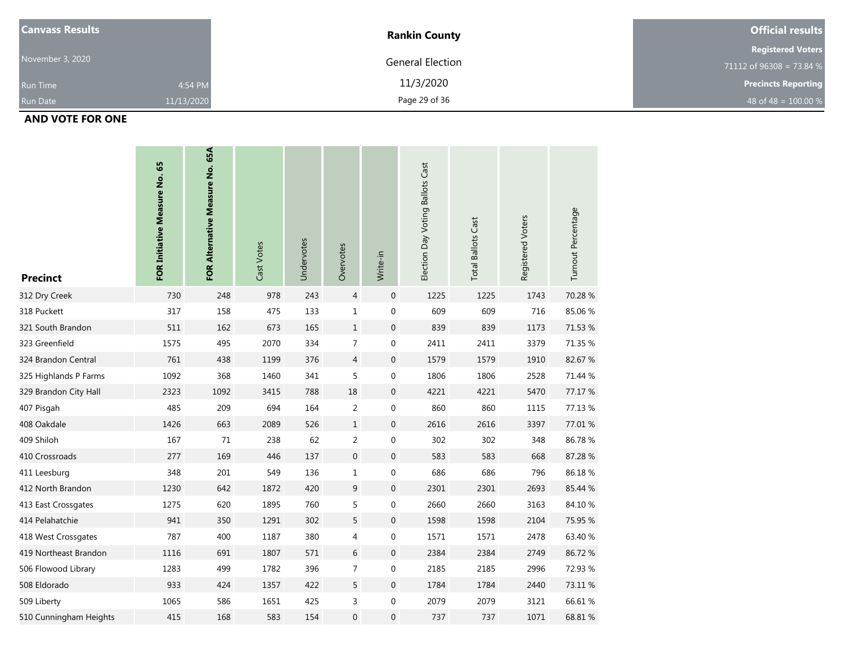| <b>Canvass Results</b> |            | <b>Rankin County</b> | <b>Official results</b>    |
|------------------------|------------|----------------------|----------------------------|
|                        |            |                      | <b>Registered Voters</b>   |
| November 3, 2020       |            | General Election     | 71112 of 96308 = 73.84 $%$ |
| <b>Run Time</b>        | 4:54 PM    | 11/3/2020            | <b>Precincts Reporting</b> |
| <b>Run Date</b>        | 11/13/2020 | Page 29 of 36        | 48 of 48 = $100.00\%$      |

## **AND VOTE FOR ONE**

| <b>Precinct</b>        | FOR Initiative Measure No. 65 | FOR Alternative Measure No. 65A | Cast Votes | Undervotes | Overvotes        | Write-in         | Election Day Voting Ballots Cast | <b>Total Ballots Cast</b> | Registered Voters | Turnout Percentage |
|------------------------|-------------------------------|---------------------------------|------------|------------|------------------|------------------|----------------------------------|---------------------------|-------------------|--------------------|
| 312 Dry Creek          | 730                           | 248                             | 978        | 243        | $\overline{4}$   | $\boldsymbol{0}$ | 1225                             | 1225                      | 1743              | 70.28%             |
| 318 Puckett            | 317                           | 158                             | 475        | 133        | $\mathbf{1}$     | 0                | 609                              | 609                       | 716               | 85.06%             |
| 321 South Brandon      | 511                           | 162                             | 673        | 165        | $1\,$            | $\boldsymbol{0}$ | 839                              | 839                       | 1173              | 71.53 %            |
| 323 Greenfield         | 1575                          | 495                             | 2070       | 334        | $\overline{7}$   | 0                | 2411                             | 2411                      | 3379              | 71.35 %            |
| 324 Brandon Central    | 761                           | 438                             | 1199       | 376        | $\overline{4}$   | $\boldsymbol{0}$ | 1579                             | 1579                      | 1910              | 82.67%             |
| 325 Highlands P Farms  | 1092                          | 368                             | 1460       | 341        | 5                | 0                | 1806                             | 1806                      | 2528              | 71.44 %            |
| 329 Brandon City Hall  | 2323                          | 1092                            | 3415       | 788        | 18               | $\boldsymbol{0}$ | 4221                             | 4221                      | 5470              | 77.17 %            |
| 407 Pisgah             | 485                           | 209                             | 694        | 164        | $\overline{2}$   | 0                | 860                              | 860                       | 1115              | 77.13 %            |
| 408 Oakdale            | 1426                          | 663                             | 2089       | 526        | $1\,$            | $\boldsymbol{0}$ | 2616                             | 2616                      | 3397              | 77.01 %            |
| 409 Shiloh             | 167                           | 71                              | 238        | 62         | $\overline{2}$   | 0                | 302                              | 302                       | 348               | 86.78%             |
| 410 Crossroads         | 277                           | 169                             | 446        | 137        | $\boldsymbol{0}$ | $\mathbf 0$      | 583                              | 583                       | 668               | 87.28%             |
| 411 Leesburg           | 348                           | 201                             | 549        | 136        | $\mathbf{1}$     | 0                | 686                              | 686                       | 796               | 86.18%             |
| 412 North Brandon      | 1230                          | 642                             | 1872       | 420        | $9\,$            | $\boldsymbol{0}$ | 2301                             | 2301                      | 2693              | 85.44 %            |
| 413 East Crossgates    | 1275                          | 620                             | 1895       | 760        | 5                | 0                | 2660                             | 2660                      | 3163              | 84.10%             |
| 414 Pelahatchie        | 941                           | 350                             | 1291       | 302        | 5                | $\boldsymbol{0}$ | 1598                             | 1598                      | 2104              | 75.95 %            |
| 418 West Crossgates    | 787                           | 400                             | 1187       | 380        | $\overline{4}$   | 0                | 1571                             | 1571                      | 2478              | 63.40 %            |
| 419 Northeast Brandon  | 1116                          | 691                             | 1807       | 571        | $6\,$            | $\boldsymbol{0}$ | 2384                             | 2384                      | 2749              | 86.72%             |
| 506 Flowood Library    | 1283                          | 499                             | 1782       | 396        | $\overline{7}$   | 0                | 2185                             | 2185                      | 2996              | 72.93 %            |
| 508 Eldorado           | 933                           | 424                             | 1357       | 422        | 5                | $\boldsymbol{0}$ | 1784                             | 1784                      | 2440              | 73.11 %            |
| 509 Liberty            | 1065                          | 586                             | 1651       | 425        | 3                | 0                | 2079                             | 2079                      | 3121              | 66.61%             |
| 510 Cunningham Heights | 415                           | 168                             | 583        | 154        | $\overline{0}$   | $\boldsymbol{0}$ | 737                              | 737                       | 1071              | 68.81%             |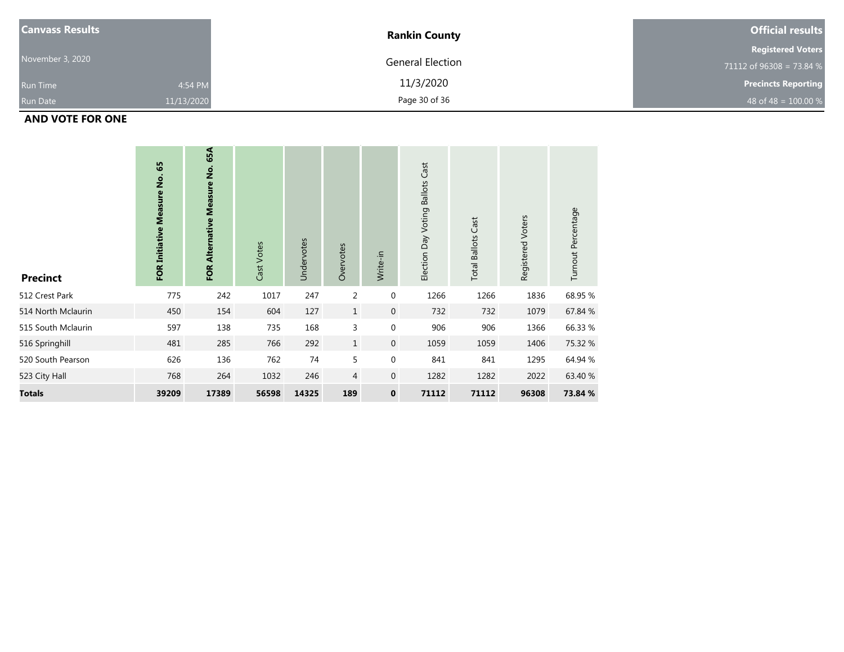| <b>Canvass Results</b> |            | <b>Rankin County</b>    | <b>Official results</b>    |
|------------------------|------------|-------------------------|----------------------------|
|                        |            |                         | <b>Registered Voters</b>   |
| November 3, 2020       |            | <b>General Election</b> | 71112 of 96308 = 73.84 $%$ |
| <b>Run Time</b>        | 4:54 PM    | 11/3/2020               | <b>Precincts Reporting</b> |
| <b>Run Date</b>        | 11/13/2020 | Page 30 of 36           | 48 of 48 = $100.00\%$      |

## **AND VOTE FOR ONE**

| <b>Precinct</b>    | 65<br>FOR Initiative Measure No. | 65A<br>FOR Alternative Measure No. | Cast Votes | Undervotes | Overvotes      | Write-in         | Election Day Voting Ballots Cast | <b>Total Ballots Cast</b> | Registered Voters | Turnout Percentage |
|--------------------|----------------------------------|------------------------------------|------------|------------|----------------|------------------|----------------------------------|---------------------------|-------------------|--------------------|
| 512 Crest Park     | 775                              | 242                                | 1017       | 247        | 2              | $\boldsymbol{0}$ | 1266                             | 1266                      | 1836              | 68.95 %            |
| 514 North Mclaurin | 450                              | 154                                | 604        | 127        | $\mathbf{1}$   | $\mathbf 0$      | 732                              | 732                       | 1079              | 67.84 %            |
| 515 South Mclaurin | 597                              | 138                                | 735        | 168        | 3              | 0                | 906                              | 906                       | 1366              | 66.33 %            |
| 516 Springhill     | 481                              | 285                                | 766        | 292        | $\mathbf{1}$   | $\mathbf 0$      | 1059                             | 1059                      | 1406              | 75.32 %            |
| 520 South Pearson  | 626                              | 136                                | 762        | 74         | 5              | $\boldsymbol{0}$ | 841                              | 841                       | 1295              | 64.94 %            |
| 523 City Hall      | 768                              | 264                                | 1032       | 246        | $\overline{4}$ | $\mathbf 0$      | 1282                             | 1282                      | 2022              | 63.40 %            |
| <b>Totals</b>      | 39209                            | 17389                              | 56598      | 14325      | 189            | $\mathbf 0$      | 71112                            | 71112                     | 96308             | 73.84 %            |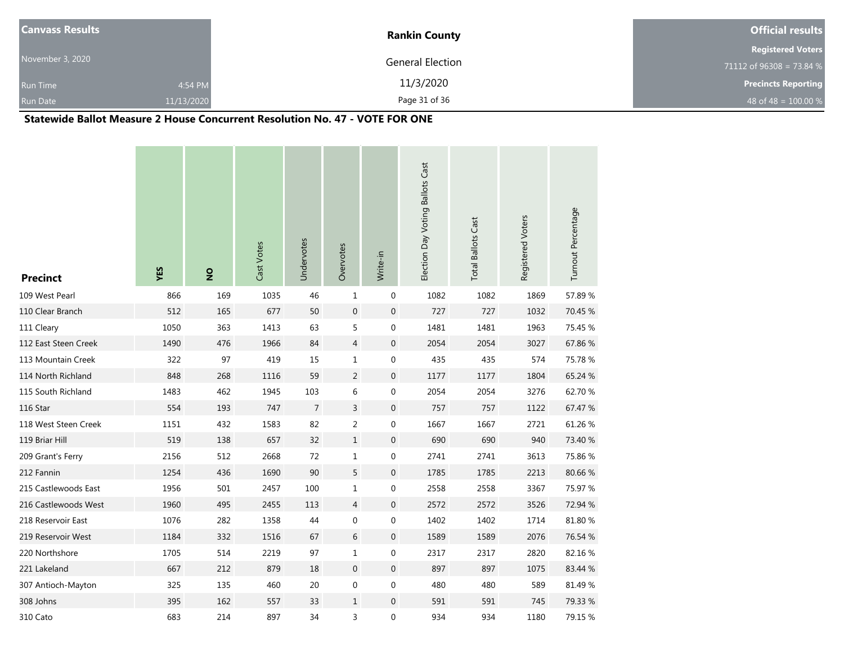| <b>Canvass Results</b> |            | <b>Rankin County</b>    | <b>Official results</b>    |
|------------------------|------------|-------------------------|----------------------------|
|                        |            |                         | <b>Registered Voters</b>   |
| November 3, 2020       |            | <b>General Election</b> | 71112 of 96308 = 73.84 %   |
| <b>Run Time</b>        | 4:54 PM    | 11/3/2020               | <b>Precincts Reporting</b> |
| <b>Run Date</b>        | 11/13/2020 | Page 31 of 36           | 48 of 48 = $100.00 %$      |

### **Statewide Ballot Measure 2 House Concurrent Resolution No. 47 - VOTE FOR ONE**

| <b>Precinct</b>      | YES  | $\frac{1}{2}$ | Cast Votes | Undervotes     | Overvotes        | Write-in         | Election Day Voting Ballots Cast | <b>Total Ballots Cast</b> | Registered Voters | Turnout Percentage |
|----------------------|------|---------------|------------|----------------|------------------|------------------|----------------------------------|---------------------------|-------------------|--------------------|
| 109 West Pearl       | 866  | 169           | 1035       | 46             | $\mathbf{1}$     | $\pmb{0}$        | 1082                             | 1082                      | 1869              | 57.89 %            |
| 110 Clear Branch     | 512  | 165           | 677        | 50             | $\boldsymbol{0}$ | $\boldsymbol{0}$ | 727                              | 727                       | 1032              | 70.45 %            |
| 111 Cleary           | 1050 | 363           | 1413       | 63             | 5                | $\boldsymbol{0}$ | 1481                             | 1481                      | 1963              | 75.45 %            |
| 112 East Steen Creek | 1490 | 476           | 1966       | 84             | $\overline{4}$   | $\mathbf 0$      | 2054                             | 2054                      | 3027              | 67.86%             |
| 113 Mountain Creek   | 322  | 97            | 419        | 15             | $\mathbf 1$      | 0                | 435                              | 435                       | 574               | 75.78%             |
| 114 North Richland   | 848  | 268           | 1116       | 59             | $\overline{2}$   | $\pmb{0}$        | 1177                             | 1177                      | 1804              | 65.24 %            |
| 115 South Richland   | 1483 | 462           | 1945       | 103            | $\,6$            | $\boldsymbol{0}$ | 2054                             | 2054                      | 3276              | 62.70%             |
| 116 Star             | 554  | 193           | 747        | $\overline{7}$ | 3                | $\boldsymbol{0}$ | 757                              | 757                       | 1122              | 67.47 %            |
| 118 West Steen Creek | 1151 | 432           | 1583       | 82             | $\overline{2}$   | $\boldsymbol{0}$ | 1667                             | 1667                      | 2721              | 61.26 %            |
| 119 Briar Hill       | 519  | 138           | 657        | 32             | $\mathbf 1$      | $\boldsymbol{0}$ | 690                              | 690                       | 940               | 73.40 %            |
| 209 Grant's Ferry    | 2156 | 512           | 2668       | 72             | $\mathbf 1$      | $\pmb{0}$        | 2741                             | 2741                      | 3613              | 75.86%             |
| 212 Fannin           | 1254 | 436           | 1690       | 90             | 5                | $\mathbf 0$      | 1785                             | 1785                      | 2213              | 80.66%             |
| 215 Castlewoods East | 1956 | 501           | 2457       | 100            | $1\,$            | $\boldsymbol{0}$ | 2558                             | 2558                      | 3367              | 75.97 %            |
| 216 Castlewoods West | 1960 | 495           | 2455       | 113            | $\overline{4}$   | $\mathbf 0$      | 2572                             | 2572                      | 3526              | 72.94 %            |
| 218 Reservoir East   | 1076 | 282           | 1358       | 44             | $\boldsymbol{0}$ | $\boldsymbol{0}$ | 1402                             | 1402                      | 1714              | 81.80 %            |
| 219 Reservoir West   | 1184 | 332           | 1516       | 67             | 6                | $\mathbf 0$      | 1589                             | 1589                      | 2076              | 76.54 %            |
| 220 Northshore       | 1705 | 514           | 2219       | 97             | $\mathbf 1$      | $\boldsymbol{0}$ | 2317                             | 2317                      | 2820              | 82.16%             |
| 221 Lakeland         | 667  | 212           | 879        | 18             | $\mathbf 0$      | $\boldsymbol{0}$ | 897                              | 897                       | 1075              | 83.44 %            |
| 307 Antioch-Mayton   | 325  | 135           | 460        | 20             | $\boldsymbol{0}$ | $\boldsymbol{0}$ | 480                              | 480                       | 589               | 81.49%             |
| 308 Johns            | 395  | 162           | 557        | 33             | $\mathbf{1}$     | 0                | 591                              | 591                       | 745               | 79.33 %            |
| 310 Cato             | 683  | 214           | 897        | 34             | 3                | 0                | 934                              | 934                       | 1180              | 79.15 %            |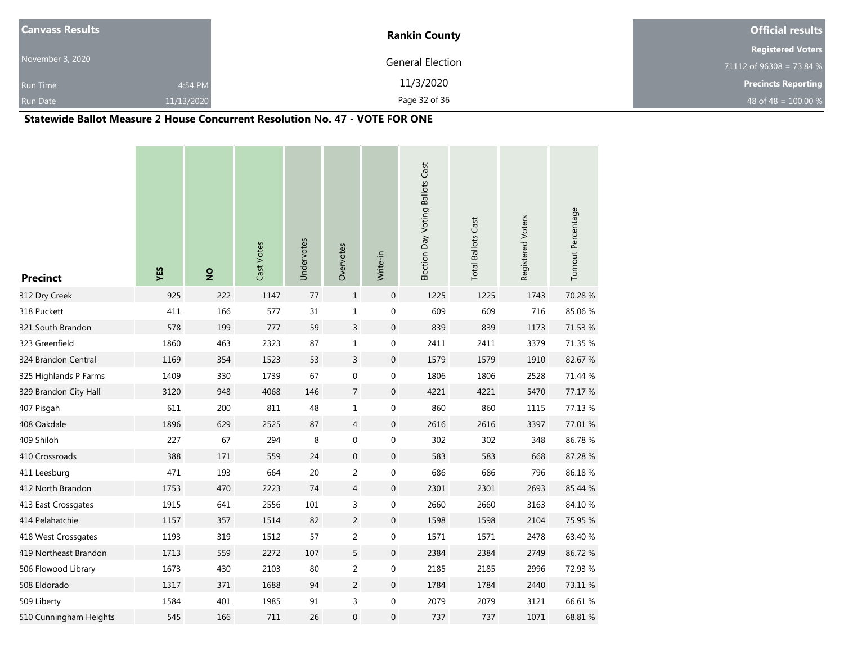| <b>Canvass Results</b> |            | <b>Rankin County</b> | <b>Official results</b>    |
|------------------------|------------|----------------------|----------------------------|
|                        |            |                      | <b>Registered Voters</b>   |
| November 3, 2020       |            | General Election     | 71112 of 96308 = 73.84 %   |
| <b>Run Time</b>        | 4:54 PM    | 11/3/2020            | <b>Precincts Reporting</b> |
| <b>Run Date</b>        | 11/13/2020 | Page 32 of 36        | 48 of 48 = $100.00\%$      |

### **Statewide Ballot Measure 2 House Concurrent Resolution No. 47 - VOTE FOR ONE**

| <b>Precinct</b>        | YES  | $\frac{1}{2}$ | Cast Votes | Undervotes | Overvotes        | Write-in         | Election Day Voting Ballots Cast | <b>Total Ballots Cast</b> | Registered Voters | Turnout Percentage |
|------------------------|------|---------------|------------|------------|------------------|------------------|----------------------------------|---------------------------|-------------------|--------------------|
| 312 Dry Creek          | 925  | 222           | 1147       | 77         | $\mathbf{1}$     | $\boldsymbol{0}$ | 1225                             | 1225                      | 1743              | 70.28%             |
| 318 Puckett            | 411  | 166           | 577        | 31         | $\mathbf 1$      | $\boldsymbol{0}$ | 609                              | 609                       | 716               | 85.06%             |
| 321 South Brandon      | 578  | 199           | 777        | 59         | $\mathsf{3}$     | $\boldsymbol{0}$ | 839                              | 839                       | 1173              | 71.53 %            |
| 323 Greenfield         | 1860 | 463           | 2323       | 87         | $\mathbf 1$      | $\boldsymbol{0}$ | 2411                             | 2411                      | 3379              | 71.35 %            |
| 324 Brandon Central    | 1169 | 354           | 1523       | 53         | $\overline{3}$   | $\boldsymbol{0}$ | 1579                             | 1579                      | 1910              | 82.67%             |
| 325 Highlands P Farms  | 1409 | 330           | 1739       | 67         | $\boldsymbol{0}$ | 0                | 1806                             | 1806                      | 2528              | 71.44 %            |
| 329 Brandon City Hall  | 3120 | 948           | 4068       | 146        | $\overline{7}$   | $\boldsymbol{0}$ | 4221                             | 4221                      | 5470              | 77.17 %            |
| 407 Pisgah             | 611  | 200           | 811        | 48         | $\mathbf 1$      | 0                | 860                              | 860                       | 1115              | 77.13 %            |
| 408 Oakdale            | 1896 | 629           | 2525       | 87         | $\overline{4}$   | $\boldsymbol{0}$ | 2616                             | 2616                      | 3397              | 77.01 %            |
| 409 Shiloh             | 227  | 67            | 294        | 8          | $\boldsymbol{0}$ | 0                | 302                              | 302                       | 348               | 86.78%             |
| 410 Crossroads         | 388  | 171           | 559        | 24         | $\boldsymbol{0}$ | $\boldsymbol{0}$ | 583                              | 583                       | 668               | 87.28%             |
| 411 Leesburg           | 471  | 193           | 664        | 20         | $\overline{2}$   | 0                | 686                              | 686                       | 796               | 86.18%             |
| 412 North Brandon      | 1753 | 470           | 2223       | 74         | $\overline{4}$   | $\boldsymbol{0}$ | 2301                             | 2301                      | 2693              | 85.44 %            |
| 413 East Crossgates    | 1915 | 641           | 2556       | 101        | 3                | 0                | 2660                             | 2660                      | 3163              | 84.10%             |
| 414 Pelahatchie        | 1157 | 357           | 1514       | 82         | $\overline{2}$   | $\boldsymbol{0}$ | 1598                             | 1598                      | 2104              | 75.95 %            |
| 418 West Crossgates    | 1193 | 319           | 1512       | 57         | $\overline{2}$   | 0                | 1571                             | 1571                      | 2478              | 63.40 %            |
| 419 Northeast Brandon  | 1713 | 559           | 2272       | 107        | 5                | $\boldsymbol{0}$ | 2384                             | 2384                      | 2749              | 86.72%             |
| 506 Flowood Library    | 1673 | 430           | 2103       | 80         | $\overline{2}$   | 0                | 2185                             | 2185                      | 2996              | 72.93 %            |
| 508 Eldorado           | 1317 | 371           | 1688       | 94         | $\overline{2}$   | $\boldsymbol{0}$ | 1784                             | 1784                      | 2440              | 73.11 %            |
| 509 Liberty            | 1584 | 401           | 1985       | 91         | 3                | 0                | 2079                             | 2079                      | 3121              | 66.61 %            |
| 510 Cunningham Heights | 545  | 166           | 711        | 26         | $\mathbf 0$      | 0                | 737                              | 737                       | 1071              | 68.81 %            |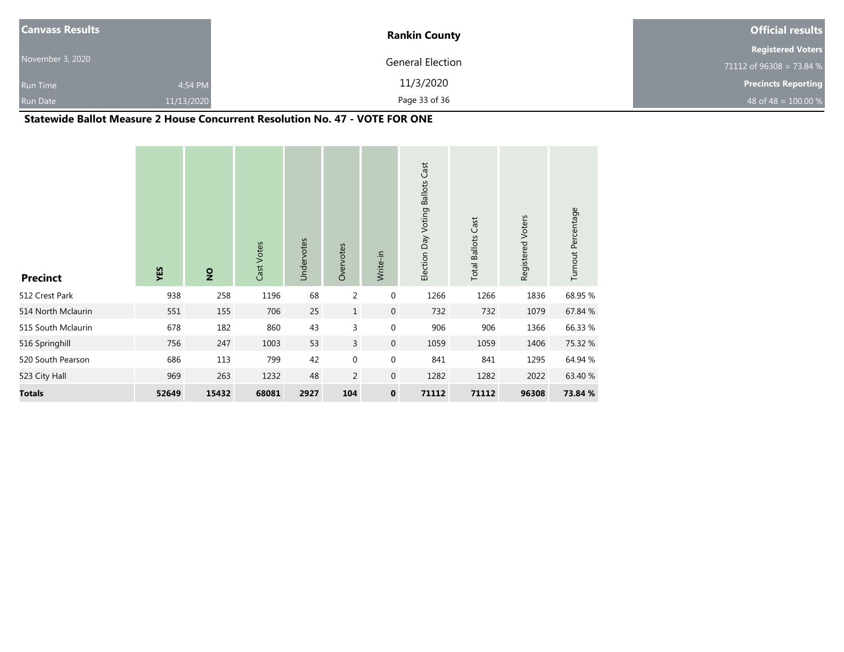| <b>Canvass Results</b> |            | <b>Rankin County</b> | <b>Official results</b>    |
|------------------------|------------|----------------------|----------------------------|
|                        |            |                      | <b>Registered Voters</b>   |
| November 3, 2020       |            | General Election     | 71112 of 96308 = 73.84 %   |
| <b>Run Time</b>        | 4:54 PM    | 11/3/2020            | <b>Precincts Reporting</b> |
| Run Date               | 11/13/2020 | Page 33 of 36        | 48 of 48 = $100.00 %$      |

### **Statewide Ballot Measure 2 House Concurrent Resolution No. 47 - VOTE FOR ONE**

| <b>Precinct</b>    | YES   | $\overline{2}$ | Cast Votes | Undervotes | Overvotes      | Write-in         | Election Day Voting Ballots Cast | <b>Total Ballots Cast</b> | Registered Voters | Turnout Percentage |
|--------------------|-------|----------------|------------|------------|----------------|------------------|----------------------------------|---------------------------|-------------------|--------------------|
| 512 Crest Park     | 938   | 258            | 1196       | 68         | $\overline{2}$ | $\boldsymbol{0}$ | 1266                             | 1266                      | 1836              | 68.95 %            |
| 514 North Mclaurin | 551   | 155            | 706        | 25         | $\mathbf{1}$   | $\mathbf{0}$     | 732                              | 732                       | 1079              | 67.84 %            |
| 515 South Mclaurin | 678   | 182            | 860        | 43         | 3              | $\boldsymbol{0}$ | 906                              | 906                       | 1366              | 66.33 %            |
| 516 Springhill     | 756   | 247            | 1003       | 53         | $\overline{3}$ | $\mathbf 0$      | 1059                             | 1059                      | 1406              | 75.32 %            |
| 520 South Pearson  | 686   | 113            | 799        | 42         | $\mathbf 0$    | $\mathbf 0$      | 841                              | 841                       | 1295              | 64.94 %            |
| 523 City Hall      | 969   | 263            | 1232       | 48         | $\overline{2}$ | $\mathbf{0}$     | 1282                             | 1282                      | 2022              | 63.40 %            |
| <b>Totals</b>      | 52649 | 15432          | 68081      | 2927       | 104            | $\mathbf 0$      | 71112                            | 71112                     | 96308             | 73.84 %            |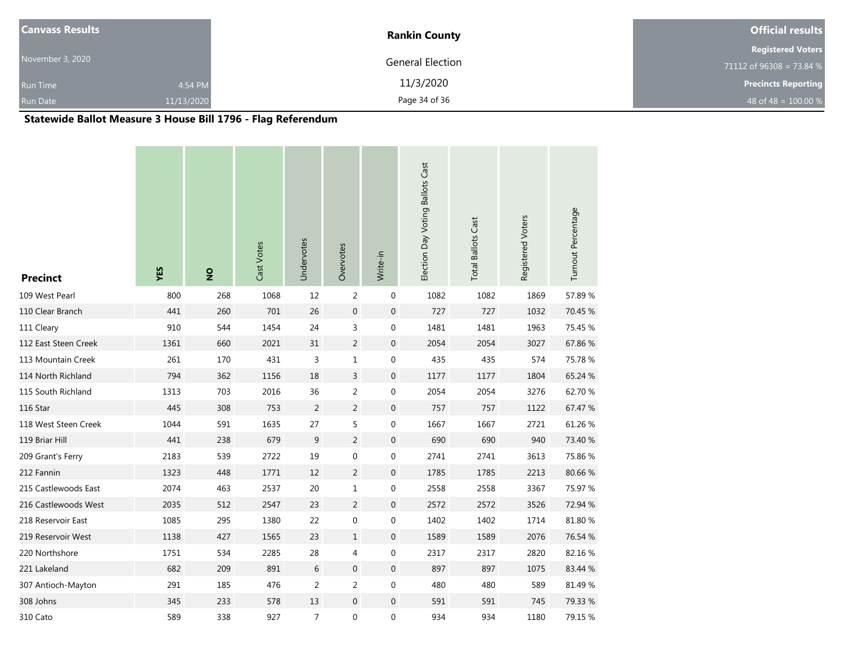| <b>Canvass Results</b> |            | <b>Rankin County</b> | <b>Official results</b>    |
|------------------------|------------|----------------------|----------------------------|
|                        |            |                      | <b>Registered Voters</b>   |
| November 3, 2020       |            | General Election     | 71112 of 96308 = 73.84 %   |
| <b>Run Time</b>        | 4:54 PM    | 11/3/2020            | <b>Precincts Reporting</b> |
| <b>Run Date</b>        | 11/13/2020 | Page 34 of 36        | 48 of 48 = $100.00\%$      |

# **Statewide Ballot Measure 3 House Bill 1796 - Flag Referendum**

| <b>Precinct</b>      | YES  | $\frac{1}{2}$ | Cast Votes | Undervotes       | Overvotes        | Write-in         | Election Day Voting Ballots Cast | <b>Total Ballots Cast</b> | Registered Voters | Turnout Percentage |
|----------------------|------|---------------|------------|------------------|------------------|------------------|----------------------------------|---------------------------|-------------------|--------------------|
| 109 West Pearl       | 800  | 268           | 1068       | 12               | $\overline{2}$   | $\pmb{0}$        | 1082                             | 1082                      | 1869              | 57.89%             |
| 110 Clear Branch     | 441  | 260           | 701        | 26               | $\boldsymbol{0}$ | $\boldsymbol{0}$ | 727                              | 727                       | 1032              | 70.45 %            |
| 111 Cleary           | 910  | 544           | 1454       | 24               | 3                | $\boldsymbol{0}$ | 1481                             | 1481                      | 1963              | 75.45 %            |
| 112 East Steen Creek | 1361 | 660           | 2021       | 31               | $\overline{2}$   | $\boldsymbol{0}$ | 2054                             | 2054                      | 3027              | 67.86%             |
| 113 Mountain Creek   | 261  | 170           | 431        | 3                | $1\,$            | $\boldsymbol{0}$ | 435                              | 435                       | 574               | 75.78%             |
| 114 North Richland   | 794  | 362           | 1156       | 18               | $\overline{3}$   | $\boldsymbol{0}$ | 1177                             | 1177                      | 1804              | 65.24 %            |
| 115 South Richland   | 1313 | 703           | 2016       | 36               | $\overline{c}$   | $\boldsymbol{0}$ | 2054                             | 2054                      | 3276              | 62.70 %            |
| 116 Star             | 445  | 308           | 753        | $\overline{2}$   | $\overline{2}$   | $\mathbf 0$      | 757                              | 757                       | 1122              | 67.47 %            |
| 118 West Steen Creek | 1044 | 591           | 1635       | 27               | 5                | $\pmb{0}$        | 1667                             | 1667                      | 2721              | 61.26%             |
| 119 Briar Hill       | 441  | 238           | 679        | $\boldsymbol{9}$ | $\overline{2}$   | $\mathbf 0$      | 690                              | 690                       | 940               | 73.40 %            |
| 209 Grant's Ferry    | 2183 | 539           | 2722       | 19               | $\boldsymbol{0}$ | $\pmb{0}$        | 2741                             | 2741                      | 3613              | 75.86 %            |
| 212 Fannin           | 1323 | 448           | 1771       | 12               | $\overline{2}$   | $\boldsymbol{0}$ | 1785                             | 1785                      | 2213              | 80.66%             |
| 215 Castlewoods East | 2074 | 463           | 2537       | 20               | $1\,$            | $\boldsymbol{0}$ | 2558                             | 2558                      | 3367              | 75.97 %            |
| 216 Castlewoods West | 2035 | 512           | 2547       | 23               | $\sqrt{2}$       | $\boldsymbol{0}$ | 2572                             | 2572                      | 3526              | 72.94 %            |
| 218 Reservoir East   | 1085 | 295           | 1380       | 22               | $\boldsymbol{0}$ | $\boldsymbol{0}$ | 1402                             | 1402                      | 1714              | 81.80%             |
| 219 Reservoir West   | 1138 | 427           | 1565       | 23               | $\mathbf{1}$     | $\mathbf 0$      | 1589                             | 1589                      | 2076              | 76.54 %            |
| 220 Northshore       | 1751 | 534           | 2285       | 28               | 4                | $\pmb{0}$        | 2317                             | 2317                      | 2820              | 82.16%             |
| 221 Lakeland         | 682  | 209           | 891        | 6                | $\boldsymbol{0}$ | $\mathbf 0$      | 897                              | 897                       | 1075              | 83.44 %            |
| 307 Antioch-Mayton   | 291  | 185           | 476        | 2                | 2                | $\pmb{0}$        | 480                              | 480                       | 589               | 81.49%             |
| 308 Johns            | 345  | 233           | 578        | 13               | $\overline{0}$   | $\pmb{0}$        | 591                              | 591                       | 745               | 79.33 %            |
| 310 Cato             | 589  | 338           | 927        | 7                | $\boldsymbol{0}$ | $\boldsymbol{0}$ | 934                              | 934                       | 1180              | 79.15 %            |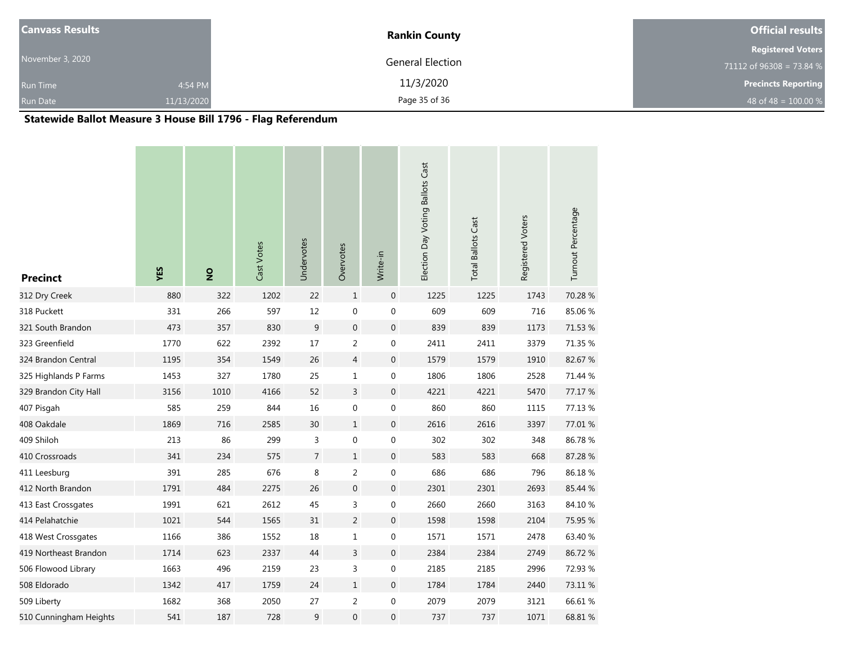| <b>Canvass Results</b> |            | <b>Rankin County</b> | <b>Official results</b>    |
|------------------------|------------|----------------------|----------------------------|
|                        |            |                      | <b>Registered Voters</b>   |
| November 3, 2020       |            | General Election     | 71112 of 96308 = 73.84 %   |
| <b>Run Time</b>        | 4:54 PM    | 11/3/2020            | <b>Precincts Reporting</b> |
| <b>Run Date</b>        | 11/13/2020 | Page 35 of 36        | 48 of 48 = $100.00\%$      |

# **Statewide Ballot Measure 3 House Bill 1796 - Flag Referendum**

| <b>Precinct</b>        | YES  | $\frac{1}{2}$ | Cast Votes | Undervotes     | Overvotes        | Write-in         | Election Day Voting Ballots Cast | <b>Total Ballots Cast</b> | Registered Voters | Turnout Percentage |
|------------------------|------|---------------|------------|----------------|------------------|------------------|----------------------------------|---------------------------|-------------------|--------------------|
| 312 Dry Creek          | 880  | 322           | 1202       | 22             | $\mathbf{1}$     | $\mathbf 0$      | 1225                             | 1225                      | 1743              | 70.28 %            |
| 318 Puckett            | 331  | 266           | 597        | 12             | $\boldsymbol{0}$ | $\boldsymbol{0}$ | 609                              | 609                       | 716               | 85.06%             |
| 321 South Brandon      | 473  | 357           | 830        | 9              | $\boldsymbol{0}$ | $\boldsymbol{0}$ | 839                              | 839                       | 1173              | 71.53 %            |
| 323 Greenfield         | 1770 | 622           | 2392       | $17\,$         | $\overline{2}$   | $\boldsymbol{0}$ | 2411                             | 2411                      | 3379              | 71.35 %            |
| 324 Brandon Central    | 1195 | 354           | 1549       | 26             | $\overline{4}$   | $\boldsymbol{0}$ | 1579                             | 1579                      | 1910              | 82.67%             |
| 325 Highlands P Farms  | 1453 | 327           | 1780       | 25             | $\mathbf 1$      | $\boldsymbol{0}$ | 1806                             | 1806                      | 2528              | 71.44 %            |
| 329 Brandon City Hall  | 3156 | 1010          | 4166       | 52             | $\overline{3}$   | $\boldsymbol{0}$ | 4221                             | 4221                      | 5470              | 77.17 %            |
| 407 Pisgah             | 585  | 259           | 844        | 16             | $\boldsymbol{0}$ | $\boldsymbol{0}$ | 860                              | 860                       | 1115              | 77.13 %            |
| 408 Oakdale            | 1869 | 716           | 2585       | 30             | $\mathbf{1}$     | $\boldsymbol{0}$ | 2616                             | 2616                      | 3397              | 77.01 %            |
| 409 Shiloh             | 213  | 86            | 299        | 3              | $\boldsymbol{0}$ | $\boldsymbol{0}$ | 302                              | 302                       | 348               | 86.78%             |
| 410 Crossroads         | 341  | 234           | 575        | $\overline{7}$ | $\,1\,$          | $\boldsymbol{0}$ | 583                              | 583                       | 668               | 87.28%             |
| 411 Leesburg           | 391  | 285           | 676        | 8              | $\overline{2}$   | $\boldsymbol{0}$ | 686                              | 686                       | 796               | 86.18%             |
| 412 North Brandon      | 1791 | 484           | 2275       | 26             | $\mathbf 0$      | $\boldsymbol{0}$ | 2301                             | 2301                      | 2693              | 85.44 %            |
| 413 East Crossgates    | 1991 | 621           | 2612       | 45             | 3                | $\mathbf 0$      | 2660                             | 2660                      | 3163              | 84.10%             |
| 414 Pelahatchie        | 1021 | 544           | 1565       | 31             | $\overline{2}$   | $\boldsymbol{0}$ | 1598                             | 1598                      | 2104              | 75.95 %            |
| 418 West Crossgates    | 1166 | 386           | 1552       | 18             | $\mathbf{1}$     | $\boldsymbol{0}$ | 1571                             | 1571                      | 2478              | 63.40 %            |
| 419 Northeast Brandon  | 1714 | 623           | 2337       | 44             | $\overline{3}$   | $\boldsymbol{0}$ | 2384                             | 2384                      | 2749              | 86.72%             |
| 506 Flowood Library    | 1663 | 496           | 2159       | 23             | 3                | $\mathbf 0$      | 2185                             | 2185                      | 2996              | 72.93 %            |
| 508 Eldorado           | 1342 | 417           | 1759       | 24             | $\mathbf{1}$     | $\boldsymbol{0}$ | 1784                             | 1784                      | 2440              | 73.11 %            |
| 509 Liberty            | 1682 | 368           | 2050       | 27             | $\overline{2}$   | $\pmb{0}$        | 2079                             | 2079                      | 3121              | 66.61%             |
| 510 Cunningham Heights | 541  | 187           | 728        | 9              | $\mathbf 0$      | $\mathbf 0$      | 737                              | 737                       | 1071              | 68.81 %            |